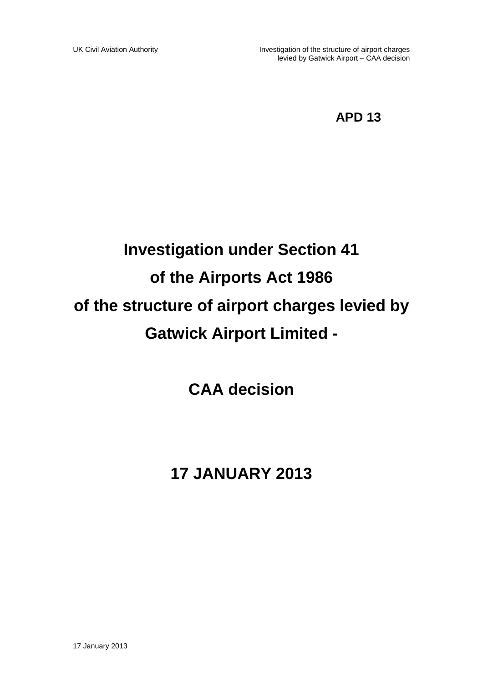## **APD 13**

# **Investigation under Section 41 of the Airports Act 1986 of the structure of airport charges levied by Gatwick Airport Limited -**

**CAA decision**

# **17 JANUARY 2013**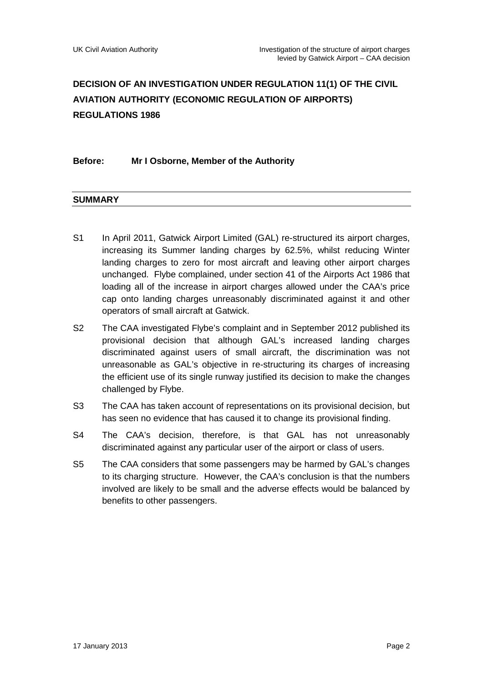### **DECISION OF AN INVESTIGATION UNDER REGULATION 11(1) OF THE CIVIL AVIATION AUTHORITY (ECONOMIC REGULATION OF AIRPORTS) REGULATIONS 1986**

#### **Before: Mr I Osborne, Member of the Authority**

#### **SUMMARY**

- S1 In April 2011, Gatwick Airport Limited (GAL) re-structured its airport charges, increasing its Summer landing charges by 62.5%, whilst reducing Winter landing charges to zero for most aircraft and leaving other airport charges unchanged. Flybe complained, under section 41 of the Airports Act 1986 that loading all of the increase in airport charges allowed under the CAA's price cap onto landing charges unreasonably discriminated against it and other operators of small aircraft at Gatwick.
- S2 The CAA investigated Flybe's complaint and in September 2012 published its provisional decision that although GAL's increased landing charges discriminated against users of small aircraft, the discrimination was not unreasonable as GAL's objective in re-structuring its charges of increasing the efficient use of its single runway justified its decision to make the changes challenged by Flybe.
- S3 The CAA has taken account of representations on its provisional decision, but has seen no evidence that has caused it to change its provisional finding.
- S4 The CAA's decision, therefore, is that GAL has not unreasonably discriminated against any particular user of the airport or class of users.
- S5 The CAA considers that some passengers may be harmed by GAL's changes to its charging structure. However, the CAA's conclusion is that the numbers involved are likely to be small and the adverse effects would be balanced by benefits to other passengers.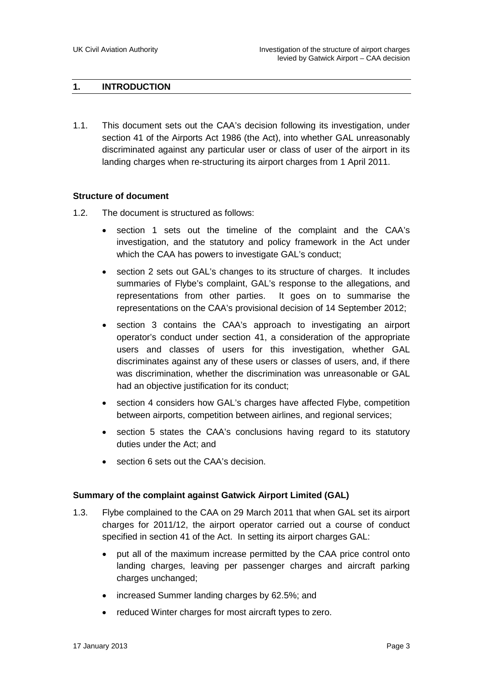#### **1. INTRODUCTION**

1.1. This document sets out the CAA's decision following its investigation, under section 41 of the Airports Act 1986 (the Act), into whether GAL unreasonably discriminated against any particular user or class of user of the airport in its landing charges when re-structuring its airport charges from 1 April 2011.

#### **Structure of document**

- 1.2. The document is structured as follows:
	- section 1 sets out the timeline of the complaint and the CAA's investigation, and the statutory and policy framework in the Act under which the CAA has powers to investigate GAL's conduct;
	- section 2 sets out GAL's changes to its structure of charges. It includes summaries of Flybe's complaint, GAL's response to the allegations, and representations from other parties. It goes on to summarise the representations on the CAA's provisional decision of 14 September 2012;
	- section 3 contains the CAA's approach to investigating an airport operator's conduct under section 41, a consideration of the appropriate users and classes of users for this investigation, whether GAL discriminates against any of these users or classes of users, and, if there was discrimination, whether the discrimination was unreasonable or GAL had an objective justification for its conduct;
	- section 4 considers how GAL's charges have affected Flybe, competition between airports, competition between airlines, and regional services;
	- section 5 states the CAA's conclusions having regard to its statutory duties under the Act; and
	- section 6 sets out the CAA's decision.

#### **Summary of the complaint against Gatwick Airport Limited (GAL)**

- 1.3. Flybe complained to the CAA on 29 March 2011 that when GAL set its airport charges for 2011/12, the airport operator carried out a course of conduct specified in section 41 of the Act. In setting its airport charges GAL:
	- put all of the maximum increase permitted by the CAA price control onto landing charges, leaving per passenger charges and aircraft parking charges unchanged;
	- increased Summer landing charges by 62.5%; and
	- reduced Winter charges for most aircraft types to zero.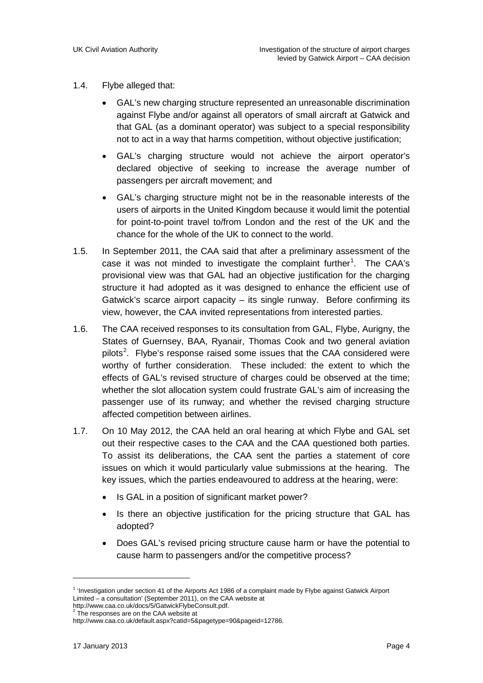- 1.4. Flybe alleged that:
	- GAL's new charging structure represented an unreasonable discrimination against Flybe and/or against all operators of small aircraft at Gatwick and that GAL (as a dominant operator) was subject to a special responsibility not to act in a way that harms competition, without objective justification;
	- GAL's charging structure would not achieve the airport operator's declared objective of seeking to increase the average number of passengers per aircraft movement; and
	- GAL's charging structure might not be in the reasonable interests of the users of airports in the United Kingdom because it would limit the potential for point-to-point travel to/from London and the rest of the UK and the chance for the whole of the UK to connect to the world.
- 1.5. In September 2011, the CAA said that after a preliminary assessment of the case it was not minded to investigate the complaint further<sup>[1](#page-3-0)</sup>. The CAA's provisional view was that GAL had an objective justification for the charging structure it had adopted as it was designed to enhance the efficient use of Gatwick's scarce airport capacity – its single runway. Before confirming its view, however, the CAA invited representations from interested parties.
- 1.6. The CAA received responses to its consultation from GAL, Flybe, Aurigny, the States of Guernsey, BAA, Ryanair, Thomas Cook and two general aviation pilots<sup>[2](#page-3-1)</sup>. Flybe's response raised some issues that the CAA considered were worthy of further consideration. These included: the extent to which the effects of GAL's revised structure of charges could be observed at the time; whether the slot allocation system could frustrate GAL's aim of increasing the passenger use of its runway; and whether the revised charging structure affected competition between airlines.
- 1.7. On 10 May 2012, the CAA held an oral hearing at which Flybe and GAL set out their respective cases to the CAA and the CAA questioned both parties. To assist its deliberations, the CAA sent the parties a statement of core issues on which it would particularly value submissions at the hearing. The key issues, which the parties endeavoured to address at the hearing, were:
	- Is GAL in a position of significant market power?
	- Is there an objective justification for the pricing structure that GAL has adopted?
	- Does GAL's revised pricing structure cause harm or have the potential to cause harm to passengers and/or the competitive process?

<u>.</u>

<span id="page-3-0"></span><sup>1</sup> 'Investigation under section 41 of the Airports Act 1986 of a complaint made by Flybe against Gatwick Airport Limited – a consultation' (September 2011), on the CAA website at

[http://www.caa.co.uk/docs/5/GatwickFlybeConsult.pdf.](http://www.caa.co.uk/docs/5/GatwickFlybeConsult.pdf) <sup>2</sup> The responses are on the CAA website at

<span id="page-3-1"></span>[http://www.caa.co.uk/default.aspx?catid=5&pagetype=90&pageid=12786.](http://www.caa.co.uk/default.aspx?catid=5&pagetype=90&pageid=12786)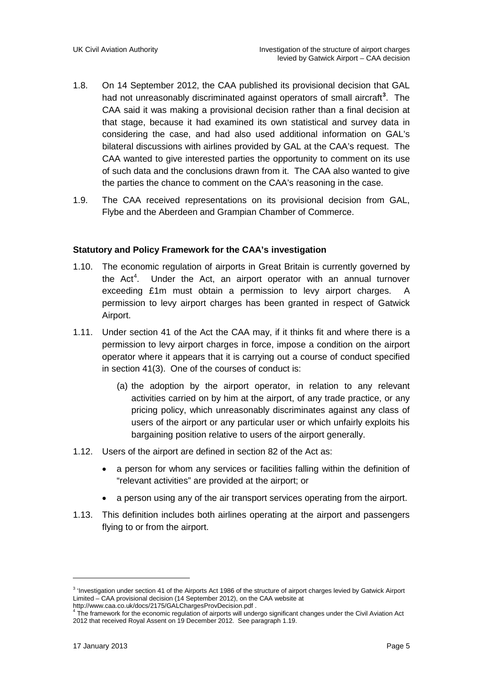- 1.8. On 14 September 2012, the CAA published its provisional decision that GAL had not unreasonably discriminated against operators of small aircraft**[3](#page-4-0)** . The CAA said it was making a provisional decision rather than a final decision at that stage, because it had examined its own statistical and survey data in considering the case, and had also used additional information on GAL's bilateral discussions with airlines provided by GAL at the CAA's request. The CAA wanted to give interested parties the opportunity to comment on its use of such data and the conclusions drawn from it. The CAA also wanted to give the parties the chance to comment on the CAA's reasoning in the case.
- 1.9. The CAA received representations on its provisional decision from GAL, Flybe and the Aberdeen and Grampian Chamber of Commerce.

#### **Statutory and Policy Framework for the CAA's investigation**

- 1.10. The economic regulation of airports in Great Britain is currently governed by the  $Act<sup>4</sup>$  $Act<sup>4</sup>$  $Act<sup>4</sup>$ . . Under the Act, an airport operator with an annual turnover exceeding £1m must obtain a permission to levy airport charges. A permission to levy airport charges has been granted in respect of Gatwick Airport.
- 1.11. Under section 41 of the Act the CAA may, if it thinks fit and where there is a permission to levy airport charges in force, impose a condition on the airport operator where it appears that it is carrying out a course of conduct specified in section 41(3). One of the courses of conduct is:
	- (a) the adoption by the airport operator, in relation to any relevant activities carried on by him at the airport, of any trade practice, or any pricing policy, which unreasonably discriminates against any class of users of the airport or any particular user or which unfairly exploits his bargaining position relative to users of the airport generally.
- 1.12. Users of the airport are defined in section 82 of the Act as:
	- a person for whom any services or facilities falling within the definition of "relevant activities" are provided at the airport; or
	- a person using any of the air transport services operating from the airport.
- 1.13. This definition includes both airlines operating at the airport and passengers flying to or from the airport.

<u>.</u>

<span id="page-4-0"></span><sup>&</sup>lt;sup>3</sup> 'Investigation under section 41 of the Airports Act 1986 of the structure of airport charges levied by Gatwick Airport Limited – CAA provisional decision (14 September 2012), on the CAA website at

<span id="page-4-1"></span><http://www.caa.co.uk/docs/2175/GALChargesProvDecision.pdf> . <sup>4</sup> The framework for the economic regulation of airports will undergo significant changes under the Civil Aviation Act 2012 that received Royal Assent on 19 December 2012. See paragraph 1.19.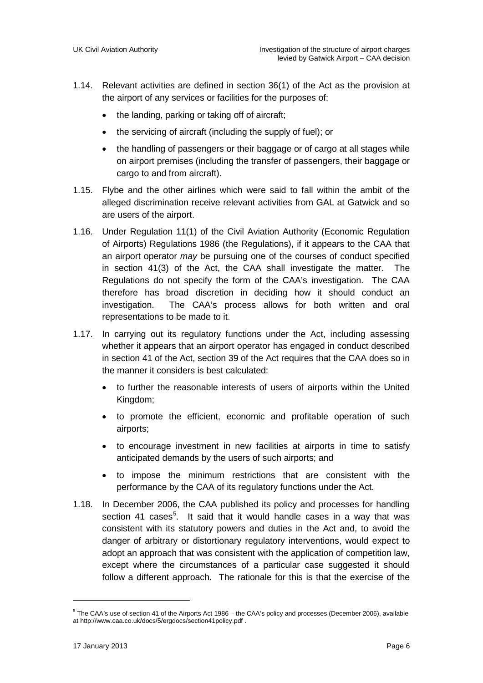- 1.14. Relevant activities are defined in section 36(1) of the Act as the provision at the airport of any services or facilities for the purposes of:
	- the landing, parking or taking off of aircraft;
	- the servicing of aircraft (including the supply of fuel); or
	- the handling of passengers or their baggage or of cargo at all stages while on airport premises (including the transfer of passengers, their baggage or cargo to and from aircraft).
- 1.15. Flybe and the other airlines which were said to fall within the ambit of the alleged discrimination receive relevant activities from GAL at Gatwick and so are users of the airport.
- 1.16. Under Regulation 11(1) of the Civil Aviation Authority (Economic Regulation of Airports) Regulations 1986 (the Regulations), if it appears to the CAA that an airport operator *may* be pursuing one of the courses of conduct specified in section 41(3) of the Act, the CAA shall investigate the matter. The Regulations do not specify the form of the CAA's investigation. The CAA therefore has broad discretion in deciding how it should conduct an investigation. The CAA's process allows for both written and oral representations to be made to it.
- 1.17. In carrying out its regulatory functions under the Act, including assessing whether it appears that an airport operator has engaged in conduct described in section 41 of the Act, section 39 of the Act requires that the CAA does so in the manner it considers is best calculated:
	- to further the reasonable interests of users of airports within the United Kingdom;
	- to promote the efficient, economic and profitable operation of such airports;
	- to encourage investment in new facilities at airports in time to satisfy anticipated demands by the users of such airports; and
	- to impose the minimum restrictions that are consistent with the performance by the CAA of its regulatory functions under the Act.
- 1.18. In December 2006, the CAA published its policy and processes for handling section 41 cases<sup>[5](#page-5-0)</sup>. It said that it would handle cases in a way that was consistent with its statutory powers and duties in the Act and, to avoid the danger of arbitrary or distortionary regulatory interventions, would expect to adopt an approach that was consistent with the application of competition law, except where the circumstances of a particular case suggested it should follow a different approach. The rationale for this is that the exercise of the

<span id="page-5-0"></span><sup>5</sup> The CAA's use of section 41 of the Airports Act 1986 – the CAA's policy and processes (December 2006), available at <http://www.caa.co.uk/docs/5/ergdocs/section41policy.pdf> .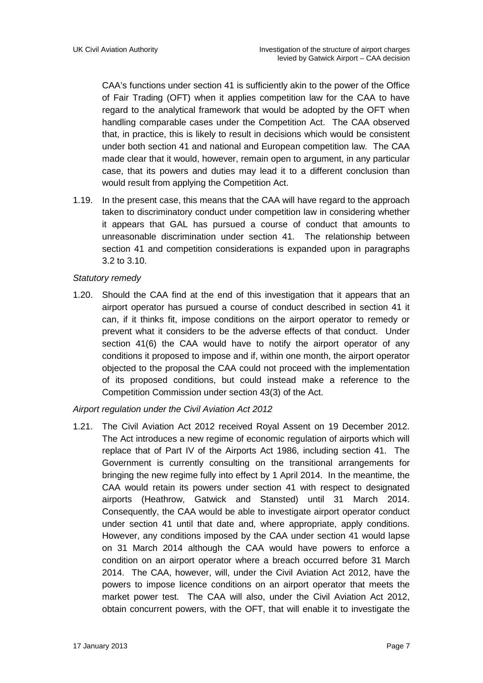CAA's functions under section 41 is sufficiently akin to the power of the Office of Fair Trading (OFT) when it applies competition law for the CAA to have regard to the analytical framework that would be adopted by the OFT when handling comparable cases under the Competition Act. The CAA observed that, in practice, this is likely to result in decisions which would be consistent under both section 41 and national and European competition law. The CAA made clear that it would, however, remain open to argument, in any particular case, that its powers and duties may lead it to a different conclusion than would result from applying the Competition Act.

1.19. In the present case, this means that the CAA will have regard to the approach taken to discriminatory conduct under competition law in considering whether it appears that GAL has pursued a course of conduct that amounts to unreasonable discrimination under section 41. The relationship between section 41 and competition considerations is expanded upon in paragraphs 3.2 to 3.10.

#### *Statutory remedy*

1.20. Should the CAA find at the end of this investigation that it appears that an airport operator has pursued a course of conduct described in section 41 it can, if it thinks fit, impose conditions on the airport operator to remedy or prevent what it considers to be the adverse effects of that conduct. Under section 41(6) the CAA would have to notify the airport operator of any conditions it proposed to impose and if, within one month, the airport operator objected to the proposal the CAA could not proceed with the implementation of its proposed conditions, but could instead make a reference to the Competition Commission under section 43(3) of the Act.

#### *Airport regulation under the Civil Aviation Act 2012*

1.21. The Civil Aviation Act 2012 received Royal Assent on 19 December 2012. The Act introduces a new regime of economic regulation of airports which will replace that of Part IV of the Airports Act 1986, including section 41. The Government is currently consulting on the transitional arrangements for bringing the new regime fully into effect by 1 April 2014. In the meantime, the CAA would retain its powers under section 41 with respect to designated airports (Heathrow, Gatwick and Stansted) until 31 March 2014. Consequently, the CAA would be able to investigate airport operator conduct under section 41 until that date and, where appropriate, apply conditions. However, any conditions imposed by the CAA under section 41 would lapse on 31 March 2014 although the CAA would have powers to enforce a condition on an airport operator where a breach occurred before 31 March 2014. The CAA, however, will, under the Civil Aviation Act 2012, have the powers to impose licence conditions on an airport operator that meets the market power test. The CAA will also, under the Civil Aviation Act 2012, obtain concurrent powers, with the OFT, that will enable it to investigate the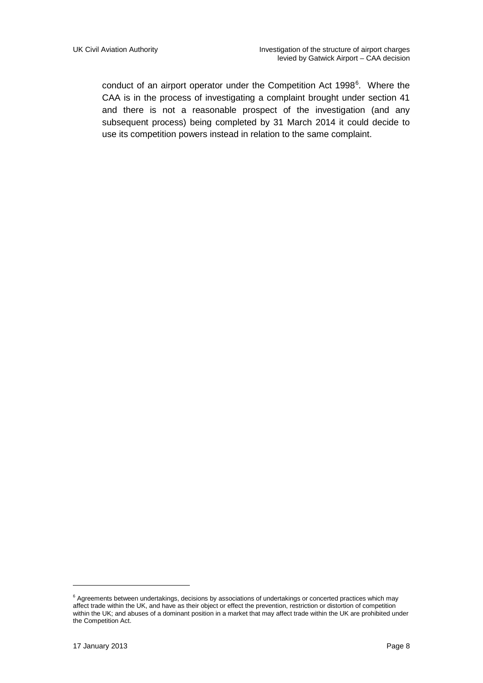conduct of an airport operator under the Competition Act 1998<sup>[6](#page-7-0)</sup>. Where the CAA is in the process of investigating a complaint brought under section 41 and there is not a reasonable prospect of the investigation (and any subsequent process) being completed by 31 March 2014 it could decide to use its competition powers instead in relation to the same complaint.

<span id="page-7-0"></span> $6$  Agreements between undertakings, decisions by associations of undertakings or concerted practices which may affect trade within the UK, and have as their object or effect the prevention, restriction or distortion of competition within the UK; and abuses of a dominant position in a market that may affect trade within the UK are prohibited under the Competition Act.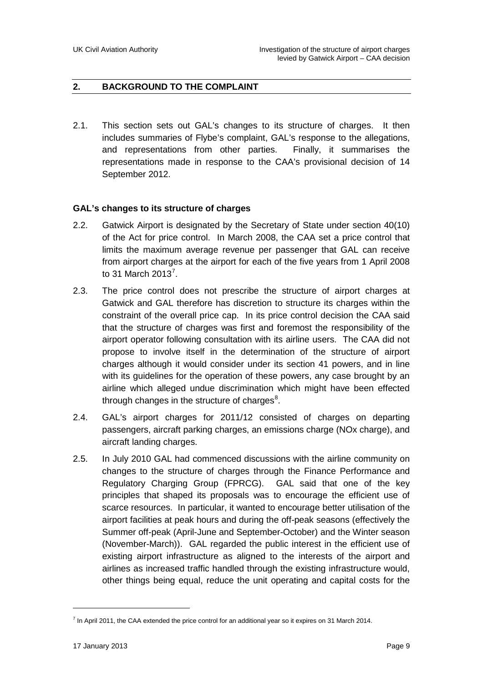#### **2. BACKGROUND TO THE COMPLAINT**

2.1. This section sets out GAL's changes to its structure of charges. It then includes summaries of Flybe's complaint, GAL's response to the allegations, and representations from other parties. Finally, it summarises the representations made in response to the CAA's provisional decision of 14 September 2012.

#### **GAL's changes to its structure of charges**

- 2.2. Gatwick Airport is designated by the Secretary of State under section 40(10) of the Act for price control. In March 2008, the CAA set a price control that limits the maximum average revenue per passenger that GAL can receive from airport charges at the airport for each of the five years from 1 April 2008 to 31 March 2013<sup>[7](#page-8-0)</sup>.
- 2.3. The price control does not prescribe the structure of airport charges at Gatwick and GAL therefore has discretion to structure its charges within the constraint of the overall price cap. In its price control decision the CAA said that the structure of charges was first and foremost the responsibility of the airport operator following consultation with its airline users. The CAA did not propose to involve itself in the determination of the structure of airport charges although it would consider under its section 41 powers, and in line with its guidelines for the operation of these powers, any case brought by an airline which alleged undue discrimination which might have been effected through changes in the structure of charges<sup>[8](#page-8-1)</sup>.
- 2.4. GAL's airport charges for 2011/12 consisted of charges on departing passengers, aircraft parking charges, an emissions charge (NOx charge), and aircraft landing charges.
- 2.5. In July 2010 GAL had commenced discussions with the airline community on changes to the structure of charges through the Finance Performance and Regulatory Charging Group (FPRCG). GAL said that one of the key principles that shaped its proposals was to encourage the efficient use of scarce resources. In particular, it wanted to encourage better utilisation of the airport facilities at peak hours and during the off-peak seasons (effectively the Summer off-peak (April-June and September-October) and the Winter season (November-March)). GAL regarded the public interest in the efficient use of existing airport infrastructure as aligned to the interests of the airport and airlines as increased traffic handled through the existing infrastructure would, other things being equal, reduce the unit operating and capital costs for the

<span id="page-8-1"></span><span id="page-8-0"></span> $^7$  In April 2011, the CAA extended the price control for an additional year so it expires on 31 March 2014.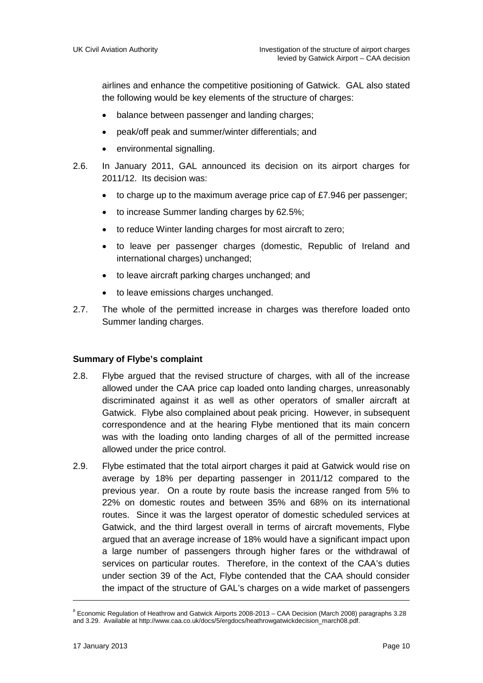airlines and enhance the competitive positioning of Gatwick. GAL also stated the following would be key elements of the structure of charges:

- balance between passenger and landing charges;
- peak/off peak and summer/winter differentials; and
- environmental signalling.
- 2.6. In January 2011, GAL announced its decision on its airport charges for 2011/12. Its decision was:
	- to charge up to the maximum average price cap of £7.946 per passenger;
	- to increase Summer landing charges by 62.5%;
	- to reduce Winter landing charges for most aircraft to zero;
	- to leave per passenger charges (domestic, Republic of Ireland and international charges) unchanged;
	- to leave aircraft parking charges unchanged; and
	- to leave emissions charges unchanged.
- 2.7. The whole of the permitted increase in charges was therefore loaded onto Summer landing charges.

#### **Summary of Flybe's complaint**

- 2.8. Flybe argued that the revised structure of charges, with all of the increase allowed under the CAA price cap loaded onto landing charges, unreasonably discriminated against it as well as other operators of smaller aircraft at Gatwick. Flybe also complained about peak pricing. However, in subsequent correspondence and at the hearing Flybe mentioned that its main concern was with the loading onto landing charges of all of the permitted increase allowed under the price control.
- 2.9. Flybe estimated that the total airport charges it paid at Gatwick would rise on average by 18% per departing passenger in 2011/12 compared to the previous year. On a route by route basis the increase ranged from 5% to 22% on domestic routes and between 35% and 68% on its international routes. Since it was the largest operator of domestic scheduled services at Gatwick, and the third largest overall in terms of aircraft movements, Flybe argued that an average increase of 18% would have a significant impact upon a large number of passengers through higher fares or the withdrawal of services on particular routes. Therefore, in the context of the CAA's duties under section 39 of the Act, Flybe contended that the CAA should consider the impact of the structure of GAL's charges on a wide market of passengers

<sup>8</sup> Economic Regulation of Heathrow and Gatwick Airports 2008-2013 – CAA Decision (March 2008) paragraphs 3.28 and 3.29. Available a[t http://www.caa.co.uk/docs/5/ergdocs/heathrowgatwickdecision\\_march08.pdf.](http://www.caa.co.uk/docs/5/ergdocs/heathrowgatwickdecision_march08.pdf.)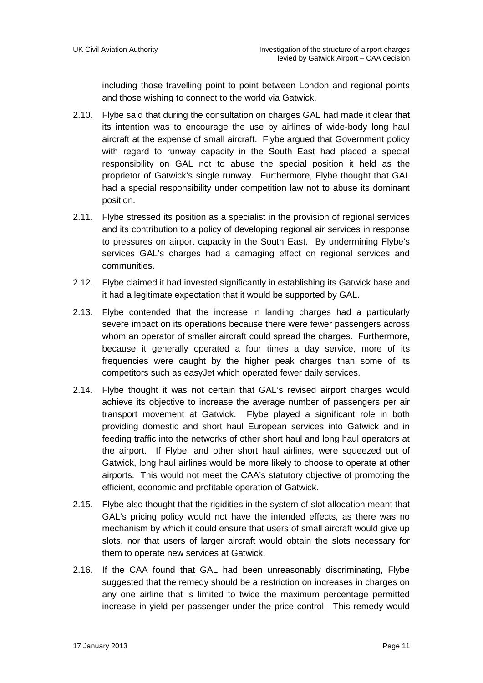including those travelling point to point between London and regional points and those wishing to connect to the world via Gatwick.

- 2.10. Flybe said that during the consultation on charges GAL had made it clear that its intention was to encourage the use by airlines of wide-body long haul aircraft at the expense of small aircraft. Flybe argued that Government policy with regard to runway capacity in the South East had placed a special responsibility on GAL not to abuse the special position it held as the proprietor of Gatwick's single runway. Furthermore, Flybe thought that GAL had a special responsibility under competition law not to abuse its dominant position.
- 2.11. Flybe stressed its position as a specialist in the provision of regional services and its contribution to a policy of developing regional air services in response to pressures on airport capacity in the South East. By undermining Flybe's services GAL's charges had a damaging effect on regional services and communities.
- 2.12. Flybe claimed it had invested significantly in establishing its Gatwick base and it had a legitimate expectation that it would be supported by GAL.
- 2.13. Flybe contended that the increase in landing charges had a particularly severe impact on its operations because there were fewer passengers across whom an operator of smaller aircraft could spread the charges. Furthermore, because it generally operated a four times a day service, more of its frequencies were caught by the higher peak charges than some of its competitors such as easyJet which operated fewer daily services.
- 2.14. Flybe thought it was not certain that GAL's revised airport charges would achieve its objective to increase the average number of passengers per air transport movement at Gatwick. Flybe played a significant role in both providing domestic and short haul European services into Gatwick and in feeding traffic into the networks of other short haul and long haul operators at the airport. If Flybe, and other short haul airlines, were squeezed out of Gatwick, long haul airlines would be more likely to choose to operate at other airports. This would not meet the CAA's statutory objective of promoting the efficient, economic and profitable operation of Gatwick.
- 2.15. Flybe also thought that the rigidities in the system of slot allocation meant that GAL's pricing policy would not have the intended effects, as there was no mechanism by which it could ensure that users of small aircraft would give up slots, nor that users of larger aircraft would obtain the slots necessary for them to operate new services at Gatwick.
- 2.16. If the CAA found that GAL had been unreasonably discriminating, Flybe suggested that the remedy should be a restriction on increases in charges on any one airline that is limited to twice the maximum percentage permitted increase in yield per passenger under the price control. This remedy would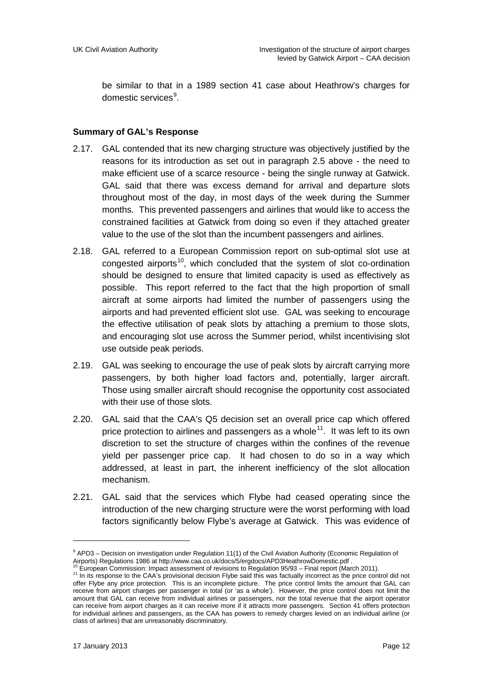be similar to that in a 1989 section 41 case about Heathrow's charges for domestic services<sup>[9](#page-11-0)</sup>.

#### **Summary of GAL's Response**

- 2.17. GAL contended that its new charging structure was objectively justified by the reasons for its introduction as set out in paragraph 2.5 above - the need to make efficient use of a scarce resource - being the single runway at Gatwick. GAL said that there was excess demand for arrival and departure slots throughout most of the day, in most days of the week during the Summer months. This prevented passengers and airlines that would like to access the constrained facilities at Gatwick from doing so even if they attached greater value to the use of the slot than the incumbent passengers and airlines.
- 2.18. GAL referred to a European Commission report on sub-optimal slot use at congested airports<sup>[10](#page-11-1)</sup>, which concluded that the system of slot co-ordination should be designed to ensure that limited capacity is used as effectively as possible. This report referred to the fact that the high proportion of small aircraft at some airports had limited the number of passengers using the airports and had prevented efficient slot use. GAL was seeking to encourage the effective utilisation of peak slots by attaching a premium to those slots, and encouraging slot use across the Summer period, whilst incentivising slot use outside peak periods.
- 2.19. GAL was seeking to encourage the use of peak slots by aircraft carrying more passengers, by both higher load factors and, potentially, larger aircraft. Those using smaller aircraft should recognise the opportunity cost associated with their use of those slots.
- 2.20. GAL said that the CAA's Q5 decision set an overall price cap which offered price protection to airlines and passengers as a whole<sup>[11](#page-11-2)</sup>. It was left to its own discretion to set the structure of charges within the confines of the revenue yield per passenger price cap. It had chosen to do so in a way which addressed, at least in part, the inherent inefficiency of the slot allocation mechanism.
- 2.21. GAL said that the services which Flybe had ceased operating since the introduction of the new charging structure were the worst performing with load factors significantly below Flybe's average at Gatwick. This was evidence of

<span id="page-11-0"></span> $9$  APD3 – Decision on investigation under Regulation 11(1) of the Civil Aviation Authority (Economic Regulation of Airports) Regulations 1986 at http://www.caa.co.uk/docs/5/ergdocs/APD3HeathrowDomestic.pdf .

<span id="page-11-2"></span><span id="page-11-1"></span> $^{10}$  European Commission: Impact assessment of revisions to Regulation 95/93 – Final report (March 2011).<br> $^{11}$  In its response to the CAA's provisional decision Flybe said this was factually incorrect as the price con offer Flybe any price protection. This is an incomplete picture. The price control limits the amount that GAL can receive from airport charges per passenger in total (or 'as a whole'). However, the price control does not limit the amount that GAL can receive from individual airlines or passengers, nor the total revenue that the airport operator can receive from airport charges as it can receive more if it attracts more passengers. Section 41 offers protection for individual airlines and passengers, as the CAA has powers to remedy charges levied on an individual airline (or class of airlines) that are unreasonably discriminatory.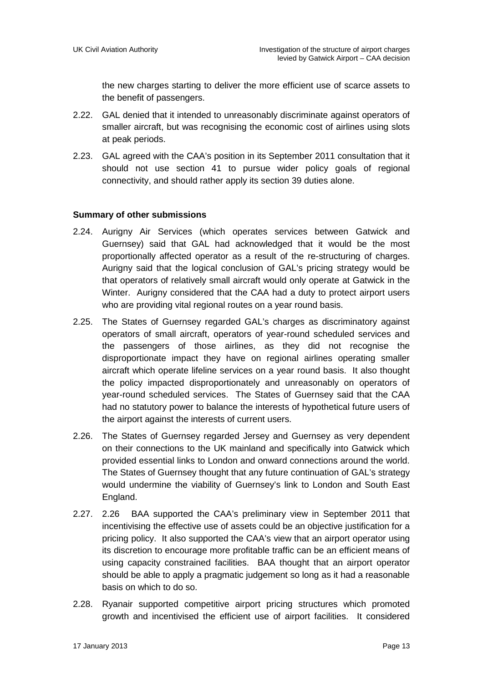the new charges starting to deliver the more efficient use of scarce assets to the benefit of passengers.

- 2.22. GAL denied that it intended to unreasonably discriminate against operators of smaller aircraft, but was recognising the economic cost of airlines using slots at peak periods.
- 2.23. GAL agreed with the CAA's position in its September 2011 consultation that it should not use section 41 to pursue wider policy goals of regional connectivity, and should rather apply its section 39 duties alone.

#### **Summary of other submissions**

- 2.24. Aurigny Air Services (which operates services between Gatwick and Guernsey) said that GAL had acknowledged that it would be the most proportionally affected operator as a result of the re-structuring of charges. Aurigny said that the logical conclusion of GAL's pricing strategy would be that operators of relatively small aircraft would only operate at Gatwick in the Winter. Aurigny considered that the CAA had a duty to protect airport users who are providing vital regional routes on a year round basis.
- 2.25. The States of Guernsey regarded GAL's charges as discriminatory against operators of small aircraft, operators of year-round scheduled services and the passengers of those airlines, as they did not recognise the disproportionate impact they have on regional airlines operating smaller aircraft which operate lifeline services on a year round basis. It also thought the policy impacted disproportionately and unreasonably on operators of year-round scheduled services. The States of Guernsey said that the CAA had no statutory power to balance the interests of hypothetical future users of the airport against the interests of current users.
- 2.26. The States of Guernsey regarded Jersey and Guernsey as very dependent on their connections to the UK mainland and specifically into Gatwick which provided essential links to London and onward connections around the world. The States of Guernsey thought that any future continuation of GAL's strategy would undermine the viability of Guernsey's link to London and South East England.
- 2.27. 2.26 BAA supported the CAA's preliminary view in September 2011 that incentivising the effective use of assets could be an objective justification for a pricing policy. It also supported the CAA's view that an airport operator using its discretion to encourage more profitable traffic can be an efficient means of using capacity constrained facilities. BAA thought that an airport operator should be able to apply a pragmatic judgement so long as it had a reasonable basis on which to do so.
- 2.28. Ryanair supported competitive airport pricing structures which promoted growth and incentivised the efficient use of airport facilities. It considered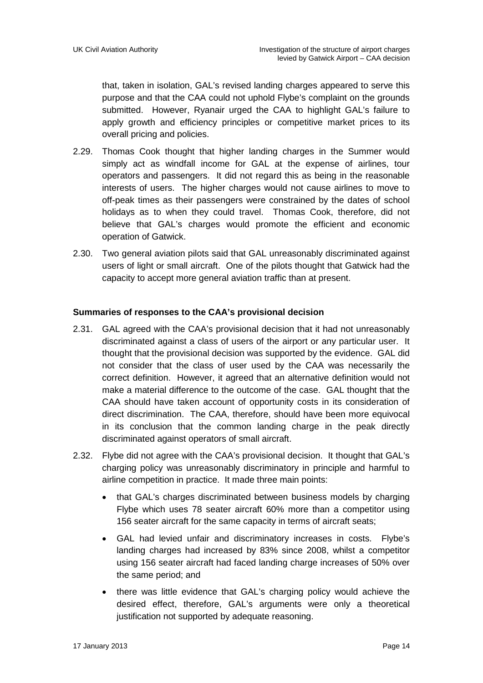that, taken in isolation, GAL's revised landing charges appeared to serve this purpose and that the CAA could not uphold Flybe's complaint on the grounds submitted. However, Ryanair urged the CAA to highlight GAL's failure to apply growth and efficiency principles or competitive market prices to its overall pricing and policies.

- 2.29. Thomas Cook thought that higher landing charges in the Summer would simply act as windfall income for GAL at the expense of airlines, tour operators and passengers. It did not regard this as being in the reasonable interests of users. The higher charges would not cause airlines to move to off-peak times as their passengers were constrained by the dates of school holidays as to when they could travel. Thomas Cook, therefore, did not believe that GAL's charges would promote the efficient and economic operation of Gatwick.
- 2.30. Two general aviation pilots said that GAL unreasonably discriminated against users of light or small aircraft. One of the pilots thought that Gatwick had the capacity to accept more general aviation traffic than at present.

#### **Summaries of responses to the CAA's provisional decision**

- 2.31. GAL agreed with the CAA's provisional decision that it had not unreasonably discriminated against a class of users of the airport or any particular user. It thought that the provisional decision was supported by the evidence. GAL did not consider that the class of user used by the CAA was necessarily the correct definition. However, it agreed that an alternative definition would not make a material difference to the outcome of the case. GAL thought that the CAA should have taken account of opportunity costs in its consideration of direct discrimination. The CAA, therefore, should have been more equivocal in its conclusion that the common landing charge in the peak directly discriminated against operators of small aircraft.
- 2.32. Flybe did not agree with the CAA's provisional decision. It thought that GAL's charging policy was unreasonably discriminatory in principle and harmful to airline competition in practice. It made three main points:
	- that GAL's charges discriminated between business models by charging Flybe which uses 78 seater aircraft 60% more than a competitor using 156 seater aircraft for the same capacity in terms of aircraft seats;
	- GAL had levied unfair and discriminatory increases in costs. Flybe's landing charges had increased by 83% since 2008, whilst a competitor using 156 seater aircraft had faced landing charge increases of 50% over the same period; and
	- there was little evidence that GAL's charging policy would achieve the desired effect, therefore, GAL's arguments were only a theoretical justification not supported by adequate reasoning.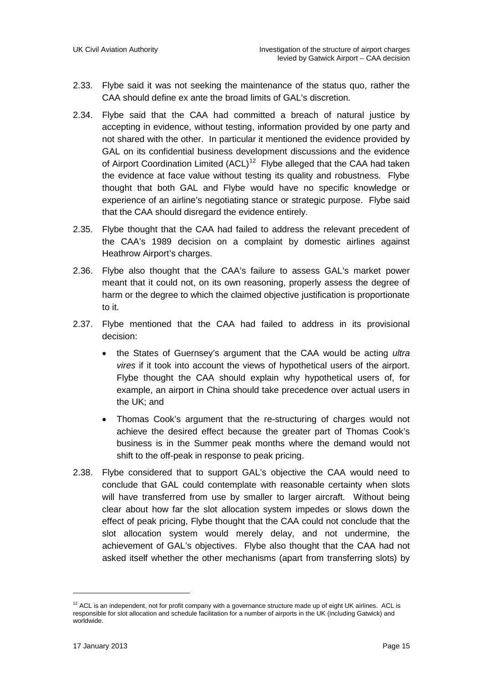- 2.33. Flybe said it was not seeking the maintenance of the status quo, rather the CAA should define ex ante the broad limits of GAL's discretion.
- 2.34. Flybe said that the CAA had committed a breach of natural justice by accepting in evidence, without testing, information provided by one party and not shared with the other. In particular it mentioned the evidence provided by GAL on its confidential business development discussions and the evidence of Airport Coordination Limited  $(ACL)^{12}$  $(ACL)^{12}$  $(ACL)^{12}$  Flybe alleged that the CAA had taken the evidence at face value without testing its quality and robustness. Flybe thought that both GAL and Flybe would have no specific knowledge or experience of an airline's negotiating stance or strategic purpose. Flybe said that the CAA should disregard the evidence entirely.
- 2.35. Flybe thought that the CAA had failed to address the relevant precedent of the CAA's 1989 decision on a complaint by domestic airlines against Heathrow Airport's charges.
- 2.36. Flybe also thought that the CAA's failure to assess GAL's market power meant that it could not, on its own reasoning, properly assess the degree of harm or the degree to which the claimed objective justification is proportionate to it.
- 2.37. Flybe mentioned that the CAA had failed to address in its provisional decision:
	- the States of Guernsey's argument that the CAA would be acting *ultra vires* if it took into account the views of hypothetical users of the airport. Flybe thought the CAA should explain why hypothetical users of, for example, an airport in China should take precedence over actual users in the UK; and
	- Thomas Cook's argument that the re-structuring of charges would not achieve the desired effect because the greater part of Thomas Cook's business is in the Summer peak months where the demand would not shift to the off-peak in response to peak pricing.
- 2.38. Flybe considered that to support GAL's objective the CAA would need to conclude that GAL could contemplate with reasonable certainty when slots will have transferred from use by smaller to larger aircraft. Without being clear about how far the slot allocation system impedes or slows down the effect of peak pricing, Flybe thought that the CAA could not conclude that the slot allocation system would merely delay, and not undermine, the achievement of GAL's objectives. Flybe also thought that the CAA had not asked itself whether the other mechanisms (apart from transferring slots) by

<span id="page-14-0"></span> $12$  ACL is an independent, not for profit company with a governance structure made up of eight UK airlines. ACL is responsible for slot allocation and schedule facilitation for a number of airports in the UK (including Gatwick) and worldwide.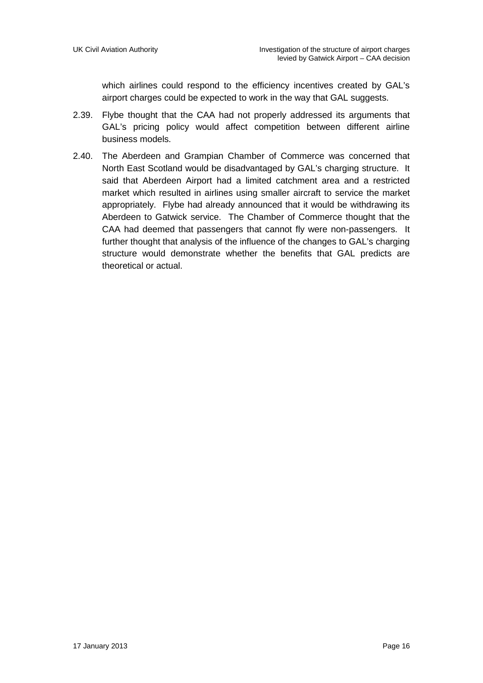which airlines could respond to the efficiency incentives created by GAL's airport charges could be expected to work in the way that GAL suggests.

- 2.39. Flybe thought that the CAA had not properly addressed its arguments that GAL's pricing policy would affect competition between different airline business models.
- 2.40. The Aberdeen and Grampian Chamber of Commerce was concerned that North East Scotland would be disadvantaged by GAL's charging structure. It said that Aberdeen Airport had a limited catchment area and a restricted market which resulted in airlines using smaller aircraft to service the market appropriately. Flybe had already announced that it would be withdrawing its Aberdeen to Gatwick service. The Chamber of Commerce thought that the CAA had deemed that passengers that cannot fly were non-passengers. It further thought that analysis of the influence of the changes to GAL's charging structure would demonstrate whether the benefits that GAL predicts are theoretical or actual.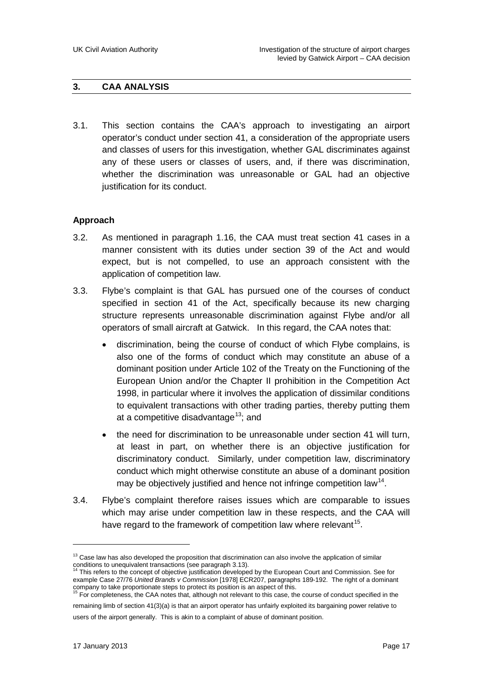#### **3. CAA ANALYSIS**

3.1. This section contains the CAA's approach to investigating an airport operator's conduct under section 41, a consideration of the appropriate users and classes of users for this investigation, whether GAL discriminates against any of these users or classes of users, and, if there was discrimination, whether the discrimination was unreasonable or GAL had an objective justification for its conduct.

#### **Approach**

- 3.2. As mentioned in paragraph 1.16, the CAA must treat section 41 cases in a manner consistent with its duties under section 39 of the Act and would expect, but is not compelled, to use an approach consistent with the application of competition law.
- 3.3. Flybe's complaint is that GAL has pursued one of the courses of conduct specified in section 41 of the Act, specifically because its new charging structure represents unreasonable discrimination against Flybe and/or all operators of small aircraft at Gatwick. In this regard, the CAA notes that:
	- discrimination, being the course of conduct of which Flybe complains, is also one of the forms of conduct which may constitute an abuse of a dominant position under Article 102 of the Treaty on the Functioning of the European Union and/or the Chapter II prohibition in the Competition Act 1998, in particular where it involves the application of dissimilar conditions to equivalent transactions with other trading parties, thereby putting them at a competitive disadvantage<sup>[13](#page-16-0)</sup>; and
	- the need for discrimination to be unreasonable under section 41 will turn, at least in part, on whether there is an objective justification for discriminatory conduct. Similarly, under competition law, discriminatory conduct which might otherwise constitute an abuse of a dominant position may be objectively justified and hence not infringe competition law<sup>[14](#page-16-1)</sup>.
- 3.4. Flybe's complaint therefore raises issues which are comparable to issues which may arise under competition law in these respects, and the CAA will have regard to the framework of competition law where relevant<sup>[15](#page-16-2)</sup>.

<span id="page-16-0"></span><sup>&</sup>lt;sup>13</sup> Case law has also developed the proposition that discrimination can also involve the application of similar conditions to unequivalent transactions (see paragraph 3.13).

<span id="page-16-1"></span>This refers to the concept of objective justification developed by the European Court and Commission. See for example Case 27/76 *United Brands v Commission* [1978] ECR207, paragraphs 189-192. The right of a dominant company to take proportionate steps to protect its position is an aspect of this.<br><sup>15</sup> For completeness, the CAA notes that, although not relevant to this case, the course of conduct specified in the

<span id="page-16-2"></span>remaining limb of section 41(3)(a) is that an airport operator has unfairly exploited its bargaining power relative to users of the airport generally. This is akin to a complaint of abuse of dominant position.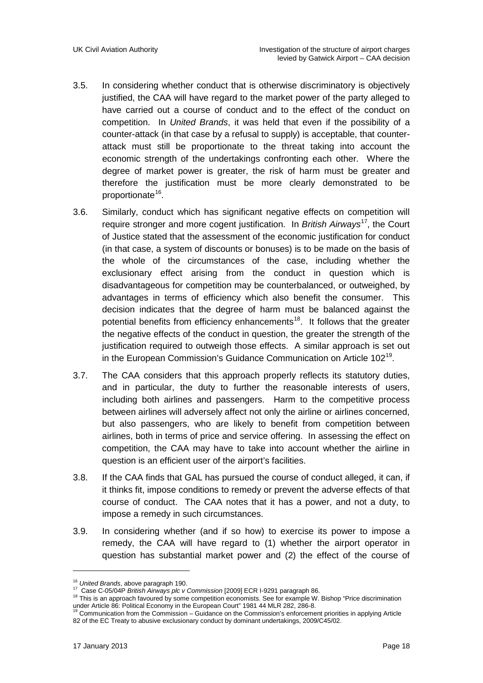- 3.5. In considering whether conduct that is otherwise discriminatory is objectively justified, the CAA will have regard to the market power of the party alleged to have carried out a course of conduct and to the effect of the conduct on competition. In *United Brands*, it was held that even if the possibility of a counter-attack (in that case by a refusal to supply) is acceptable, that counterattack must still be proportionate to the threat taking into account the economic strength of the undertakings confronting each other. Where the degree of market power is greater, the risk of harm must be greater and therefore the justification must be more clearly demonstrated to be proportionate<sup>[16](#page-17-0)</sup>.
- 3.6. Similarly, conduct which has significant negative effects on competition will require stronger and more cogent justification. In *British Airways* [17,](#page-17-1) the Court of Justice stated that the assessment of the economic justification for conduct (in that case, a system of discounts or bonuses) is to be made on the basis of the whole of the circumstances of the case, including whether the exclusionary effect arising from the conduct in question which is disadvantageous for competition may be counterbalanced, or outweighed, by advantages in terms of efficiency which also benefit the consumer. This decision indicates that the degree of harm must be balanced against the potential benefits from efficiency enhancements<sup>[18](#page-17-2)</sup>. It follows that the greater the negative effects of the conduct in question, the greater the strength of the justification required to outweigh those effects. A similar approach is set out in the European Commission's Guidance Communication on Article 102<sup>[19](#page-17-3)</sup>.
- 3.7. The CAA considers that this approach properly reflects its statutory duties, and in particular, the duty to further the reasonable interests of users, including both airlines and passengers. Harm to the competitive process between airlines will adversely affect not only the airline or airlines concerned, but also passengers, who are likely to benefit from competition between airlines, both in terms of price and service offering. In assessing the effect on competition, the CAA may have to take into account whether the airline in question is an efficient user of the airport's facilities.
- 3.8. If the CAA finds that GAL has pursued the course of conduct alleged, it can, if it thinks fit, impose conditions to remedy or prevent the adverse effects of that course of conduct. The CAA notes that it has a power, and not a duty, to impose a remedy in such circumstances.
- 3.9. In considering whether (and if so how) to exercise its power to impose a remedy, the CAA will have regard to (1) whether the airport operator in question has substantial market power and (2) the effect of the course of

<span id="page-17-2"></span><span id="page-17-1"></span><span id="page-17-0"></span><sup>&</sup>lt;sup>16</sup> United Brands, above paragraph 190.<br><sup>17</sup> Case C-05/04P *British Airways plc v Commission* [2009] ECR I-9291 paragraph 86.<br><sup>18</sup> This is an approach favoured by some competition economists. See for example W. Bishop "Pr under Article 86: Political Economy in the European Court" 1981 44 MLR 282, 286-8.<br><sup>19</sup> Communication from the Commission – Guidance on the Commission's enforcement priorities in applying Article

<span id="page-17-3"></span><sup>82</sup> of the EC Treaty to abusive exclusionary conduct by dominant undertakings, 2009/C45/02.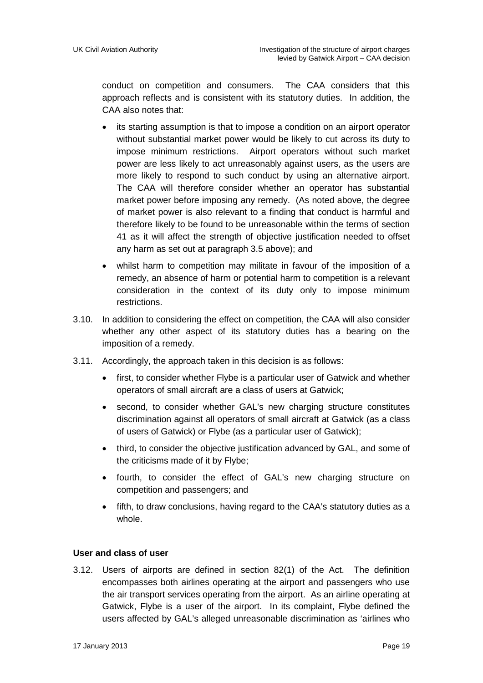conduct on competition and consumers. The CAA considers that this approach reflects and is consistent with its statutory duties. In addition, the CAA also notes that:

- its starting assumption is that to impose a condition on an airport operator without substantial market power would be likely to cut across its duty to impose minimum restrictions. Airport operators without such market power are less likely to act unreasonably against users, as the users are more likely to respond to such conduct by using an alternative airport. The CAA will therefore consider whether an operator has substantial market power before imposing any remedy. (As noted above, the degree of market power is also relevant to a finding that conduct is harmful and therefore likely to be found to be unreasonable within the terms of section 41 as it will affect the strength of objective justification needed to offset any harm as set out at paragraph 3.5 above); and
- whilst harm to competition may militate in favour of the imposition of a remedy, an absence of harm or potential harm to competition is a relevant consideration in the context of its duty only to impose minimum restrictions.
- 3.10. In addition to considering the effect on competition, the CAA will also consider whether any other aspect of its statutory duties has a bearing on the imposition of a remedy.
- 3.11. Accordingly, the approach taken in this decision is as follows:
	- first, to consider whether Flybe is a particular user of Gatwick and whether operators of small aircraft are a class of users at Gatwick;
	- second, to consider whether GAL's new charging structure constitutes discrimination against all operators of small aircraft at Gatwick (as a class of users of Gatwick) or Flybe (as a particular user of Gatwick);
	- third, to consider the objective justification advanced by GAL, and some of the criticisms made of it by Flybe;
	- fourth, to consider the effect of GAL's new charging structure on competition and passengers; and
	- fifth, to draw conclusions, having regard to the CAA's statutory duties as a whole.

#### **User and class of user**

3.12. Users of airports are defined in section 82(1) of the Act. The definition encompasses both airlines operating at the airport and passengers who use the air transport services operating from the airport. As an airline operating at Gatwick, Flybe is a user of the airport. In its complaint, Flybe defined the users affected by GAL's alleged unreasonable discrimination as 'airlines who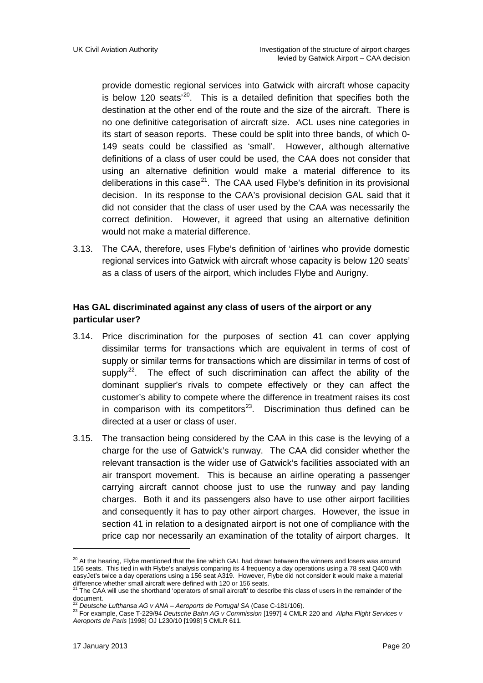provide domestic regional services into Gatwick with aircraft whose capacity is below 120 seats<sup>'20</sup>. This is a detailed definition that specifies both the destination at the other end of the route and the size of the aircraft. There is no one definitive categorisation of aircraft size. ACL uses nine categories in its start of season reports. These could be split into three bands, of which 0- 149 seats could be classified as 'small'. However, although alternative definitions of a class of user could be used, the CAA does not consider that using an alternative definition would make a material difference to its deliberations in this case<sup>[21](#page-19-1)</sup>. The CAA used Flybe's definition in its provisional decision. In its response to the CAA's provisional decision GAL said that it did not consider that the class of user used by the CAA was necessarily the correct definition. However, it agreed that using an alternative definition would not make a material difference.

3.13. The CAA, therefore, uses Flybe's definition of 'airlines who provide domestic regional services into Gatwick with aircraft whose capacity is below 120 seats' as a class of users of the airport, which includes Flybe and Aurigny.

#### **Has GAL discriminated against any class of users of the airport or any particular user?**

- 3.14. Price discrimination for the purposes of section 41 can cover applying dissimilar terms for transactions which are equivalent in terms of cost of supply or similar terms for transactions which are dissimilar in terms of cost of supply<sup>22</sup>. The effect of such discrimination can affect the ability of the dominant supplier's rivals to compete effectively or they can affect the customer's ability to compete where the difference in treatment raises its cost in comparison with its competitors $23$ . Discrimination thus defined can be directed at a user or class of user.
- 3.15. The transaction being considered by the CAA in this case is the levying of a charge for the use of Gatwick's runway. The CAA did consider whether the relevant transaction is the wider use of Gatwick's facilities associated with an air transport movement. This is because an airline operating a passenger carrying aircraft cannot choose just to use the runway and pay landing charges. Both it and its passengers also have to use other airport facilities and consequently it has to pay other airport charges. However, the issue in section 41 in relation to a designated airport is not one of compliance with the price cap nor necessarily an examination of the totality of airport charges. It

<u>.</u>

<span id="page-19-0"></span> $^{20}$  At the hearing. Flybe mentioned that the line which GAL had drawn between the winners and losers was around 156 seats. This tied in with Flybe's analysis comparing its 4 frequency a day operations using a 78 seat Q400 with easyJet's twice a day operations using a 156 seat A319. However, Flybe did not consider it would make a material

difference whether small aircraft were defined with 120 or 156 seats.<br><sup>21</sup> The CAA will use the shorthand 'operators of small aircraft' to describe this class of users in the remainder of the

<span id="page-19-1"></span>document.<br><sup>22</sup> Deutsche Lufthansa AG v ANA – Aeroports de Portugal SA (Case C-181/106).

<span id="page-19-3"></span><span id="page-19-2"></span><sup>22</sup> *Deutsche Lufthansa AG v ANA – Aeroports de Portugal SA* (Case C-181/106). <sup>23</sup> For example, Case T-229/94 *Deutsche Bahn AG v Commission* [1997] 4 CMLR 220 and *Alpha Flight Services v Aeroports de Paris* [1998] OJ L230/10 [1998] 5 CMLR 611.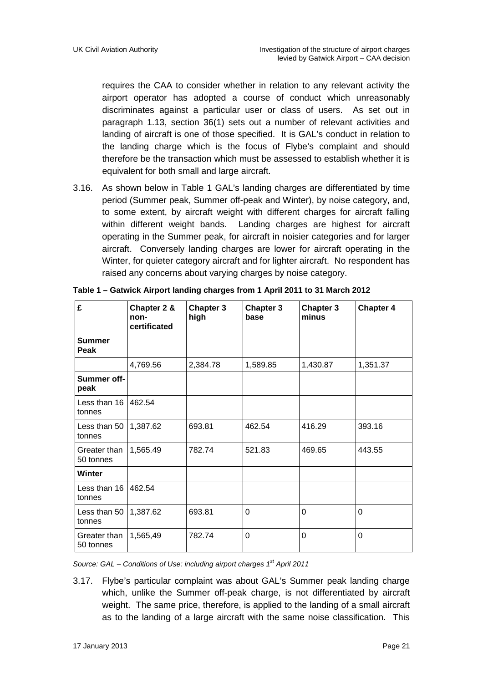requires the CAA to consider whether in relation to any relevant activity the airport operator has adopted a course of conduct which unreasonably discriminates against a particular user or class of users. As set out in paragraph 1.13, section 36(1) sets out a number of relevant activities and landing of aircraft is one of those specified. It is GAL's conduct in relation to the landing charge which is the focus of Flybe's complaint and should therefore be the transaction which must be assessed to establish whether it is equivalent for both small and large aircraft.

3.16. As shown below in Table 1 GAL's landing charges are differentiated by time period (Summer peak, Summer off-peak and Winter), by noise category, and, to some extent, by aircraft weight with different charges for aircraft falling within different weight bands. Landing charges are highest for aircraft operating in the Summer peak, for aircraft in noisier categories and for larger aircraft. Conversely landing charges are lower for aircraft operating in the Winter, for quieter category aircraft and for lighter aircraft. No respondent has raised any concerns about varying charges by noise category.

| $\mathbf{f}$              | Chapter 2 &<br>non-<br>certificated | Chapter 3<br>high | <b>Chapter 3</b><br>base | <b>Chapter 3</b><br>minus | <b>Chapter 4</b> |  |
|---------------------------|-------------------------------------|-------------------|--------------------------|---------------------------|------------------|--|
| Summer<br>Peak            |                                     |                   |                          |                           |                  |  |
|                           | 4,769.56                            | 2,384.78          | 1,589.85                 | 1,430.87                  | 1,351.37         |  |
| Summer off-<br>peak       |                                     |                   |                          |                           |                  |  |
| Less than 16<br>tonnes    | 462.54                              |                   |                          |                           |                  |  |
| Less than 50<br>tonnes    | 1,387.62                            | 693.81            | 462.54                   | 416.29                    | 393.16           |  |
| Greater than<br>50 tonnes | 1,565.49                            | 782.74            | 521.83                   | 469.65                    | 443.55           |  |
| Winter                    |                                     |                   |                          |                           |                  |  |
| Less than 16<br>tonnes    | 462.54                              |                   |                          |                           |                  |  |
| Less than 50<br>tonnes    | 1,387.62                            | 693.81            | $\Omega$<br>$\Omega$     |                           | $\overline{0}$   |  |
| Greater than<br>50 tonnes | 1,565,49                            | 782.74            | $\Omega$<br>$\Omega$     |                           | $\Omega$         |  |

| Table 1 - Gatwick Airport landing charges from 1 April 2011 to 31 March 2012 |  |
|------------------------------------------------------------------------------|--|
|------------------------------------------------------------------------------|--|

*Source: GAL – Conditions of Use: including airport charges 1st April 2011*

3.17. Flybe's particular complaint was about GAL's Summer peak landing charge which, unlike the Summer off-peak charge, is not differentiated by aircraft weight. The same price, therefore, is applied to the landing of a small aircraft as to the landing of a large aircraft with the same noise classification. This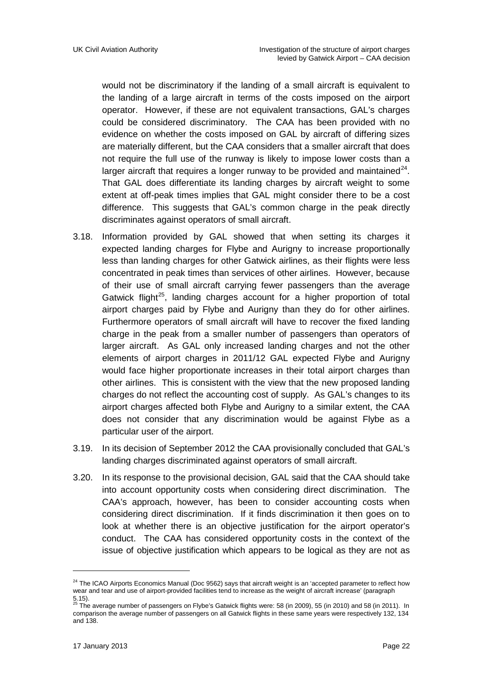would not be discriminatory if the landing of a small aircraft is equivalent to the landing of a large aircraft in terms of the costs imposed on the airport operator. However, if these are not equivalent transactions, GAL's charges could be considered discriminatory. The CAA has been provided with no evidence on whether the costs imposed on GAL by aircraft of differing sizes are materially different, but the CAA considers that a smaller aircraft that does not require the full use of the runway is likely to impose lower costs than a larger aircraft that requires a longer runway to be provided and maintained $^{24}$  $^{24}$  $^{24}$ . That GAL does differentiate its landing charges by aircraft weight to some extent at off-peak times implies that GAL might consider there to be a cost difference. This suggests that GAL's common charge in the peak directly discriminates against operators of small aircraft.

- 3.18. Information provided by GAL showed that when setting its charges it expected landing charges for Flybe and Aurigny to increase proportionally less than landing charges for other Gatwick airlines, as their flights were less concentrated in peak times than services of other airlines. However, because of their use of small aircraft carrying fewer passengers than the average Gatwick flight<sup>[25](#page-21-1)</sup>, landing charges account for a higher proportion of total airport charges paid by Flybe and Aurigny than they do for other airlines. Furthermore operators of small aircraft will have to recover the fixed landing charge in the peak from a smaller number of passengers than operators of larger aircraft. As GAL only increased landing charges and not the other elements of airport charges in 2011/12 GAL expected Flybe and Aurigny would face higher proportionate increases in their total airport charges than other airlines. This is consistent with the view that the new proposed landing charges do not reflect the accounting cost of supply. As GAL's changes to its airport charges affected both Flybe and Aurigny to a similar extent, the CAA does not consider that any discrimination would be against Flybe as a particular user of the airport.
- 3.19. In its decision of September 2012 the CAA provisionally concluded that GAL's landing charges discriminated against operators of small aircraft.
- 3.20. In its response to the provisional decision, GAL said that the CAA should take into account opportunity costs when considering direct discrimination. The CAA's approach, however, has been to consider accounting costs when considering direct discrimination. If it finds discrimination it then goes on to look at whether there is an objective justification for the airport operator's conduct. The CAA has considered opportunity costs in the context of the issue of objective justification which appears to be logical as they are not as

<span id="page-21-0"></span><sup>&</sup>lt;sup>24</sup> The ICAO Airports Economics Manual (Doc 9562) says that aircraft weight is an 'accepted parameter to reflect how wear and tear and use of airport-provided facilities tend to increase as the weight of aircraft increase' (paragraph

<span id="page-21-1"></span><sup>5.15).</sup> <sup>25</sup> The average number of passengers on Flybe's Gatwick flights were: 58 (in 2009), 55 (in 2010) and 58 (in 2011). In comparison the average number of passengers on all Gatwick flights in these same years were respectively 132, 134 and 138.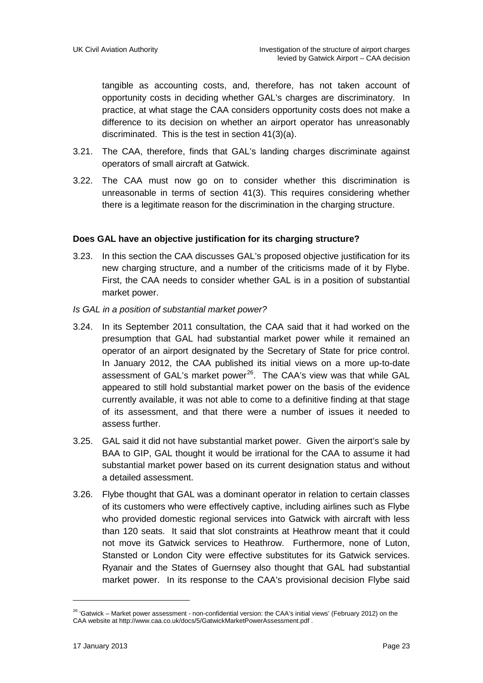tangible as accounting costs, and, therefore, has not taken account of opportunity costs in deciding whether GAL's charges are discriminatory. In practice, at what stage the CAA considers opportunity costs does not make a difference to its decision on whether an airport operator has unreasonably discriminated. This is the test in section 41(3)(a).

- 3.21. The CAA, therefore, finds that GAL's landing charges discriminate against operators of small aircraft at Gatwick.
- 3.22. The CAA must now go on to consider whether this discrimination is unreasonable in terms of section 41(3). This requires considering whether there is a legitimate reason for the discrimination in the charging structure.

#### **Does GAL have an objective justification for its charging structure?**

- 3.23. In this section the CAA discusses GAL's proposed objective justification for its new charging structure, and a number of the criticisms made of it by Flybe. First, the CAA needs to consider whether GAL is in a position of substantial market power.
- *Is GAL in a position of substantial market power?*
- 3.24. In its September 2011 consultation, the CAA said that it had worked on the presumption that GAL had substantial market power while it remained an operator of an airport designated by the Secretary of State for price control. In January 2012, the CAA published its initial views on a more up-to-date assessment of GAL's market power<sup>[26](#page-22-0)</sup>. The CAA's view was that while GAL appeared to still hold substantial market power on the basis of the evidence currently available, it was not able to come to a definitive finding at that stage of its assessment, and that there were a number of issues it needed to assess further.
- 3.25. GAL said it did not have substantial market power. Given the airport's sale by BAA to GIP, GAL thought it would be irrational for the CAA to assume it had substantial market power based on its current designation status and without a detailed assessment.
- 3.26. Flybe thought that GAL was a dominant operator in relation to certain classes of its customers who were effectively captive, including airlines such as Flybe who provided domestic regional services into Gatwick with aircraft with less than 120 seats. It said that slot constraints at Heathrow meant that it could not move its Gatwick services to Heathrow. Furthermore, none of Luton, Stansted or London City were effective substitutes for its Gatwick services. Ryanair and the States of Guernsey also thought that GAL had substantial market power. In its response to the CAA's provisional decision Flybe said

<span id="page-22-0"></span> $26$  'Gatwick – Market power assessment - non-confidential version: the CAA's initial views' (February 2012) on the CAA website at<http://www.caa.co.uk/docs/5/GatwickMarketPowerAssessment.pdf> .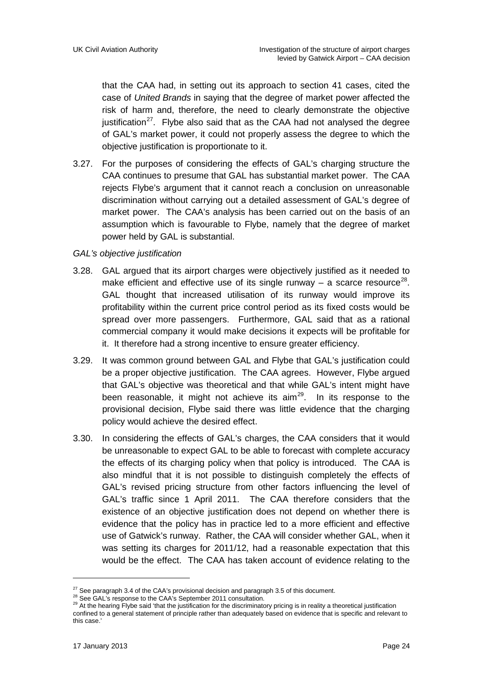that the CAA had, in setting out its approach to section 41 cases, cited the case of *United Brands* in saying that the degree of market power affected the risk of harm and, therefore, the need to clearly demonstrate the objective justification<sup>[27](#page-23-0)</sup>. Flybe also said that as the CAA had not analysed the degree of GAL's market power, it could not properly assess the degree to which the objective justification is proportionate to it.

3.27. For the purposes of considering the effects of GAL's charging structure the CAA continues to presume that GAL has substantial market power. The CAA rejects Flybe's argument that it cannot reach a conclusion on unreasonable discrimination without carrying out a detailed assessment of GAL's degree of market power. The CAA's analysis has been carried out on the basis of an assumption which is favourable to Flybe, namely that the degree of market power held by GAL is substantial.

#### *GAL's objective justification*

- 3.28. GAL argued that its airport charges were objectively justified as it needed to make efficient and effective use of its single runway  $-$  a scarce resource<sup>[28](#page-23-1)</sup>. GAL thought that increased utilisation of its runway would improve its profitability within the current price control period as its fixed costs would be spread over more passengers. Furthermore, GAL said that as a rational commercial company it would make decisions it expects will be profitable for it. It therefore had a strong incentive to ensure greater efficiency.
- 3.29. It was common ground between GAL and Flybe that GAL's justification could be a proper objective justification. The CAA agrees. However, Flybe argued that GAL's objective was theoretical and that while GAL's intent might have been reasonable, it might not achieve its aim<sup>[29](#page-23-2)</sup>. In its response to the provisional decision, Flybe said there was little evidence that the charging policy would achieve the desired effect.
- 3.30. In considering the effects of GAL's charges, the CAA considers that it would be unreasonable to expect GAL to be able to forecast with complete accuracy the effects of its charging policy when that policy is introduced. The CAA is also mindfuI that it is not possible to distinguish completely the effects of GAL's revised pricing structure from other factors influencing the level of GAL's traffic since 1 April 2011. The CAA therefore considers that the existence of an objective justification does not depend on whether there is evidence that the policy has in practice led to a more efficient and effective use of Gatwick's runway. Rather, the CAA will consider whether GAL, when it was setting its charges for 2011/12, had a reasonable expectation that this would be the effect. The CAA has taken account of evidence relating to the

<u>.</u>

<span id="page-23-0"></span><sup>&</sup>lt;sup>27</sup> See paragraph 3.4 of the CAA's provisional decision and paragraph 3.5 of this document.<br><sup>28</sup> See GAL's response to the CAA's September 2011 consultation.<br><sup>29</sup> At the hearing Flybe said 'that the justification for the

<span id="page-23-2"></span><span id="page-23-1"></span>confined to a general statement of principle rather than adequately based on evidence that is specific and relevant to this case.'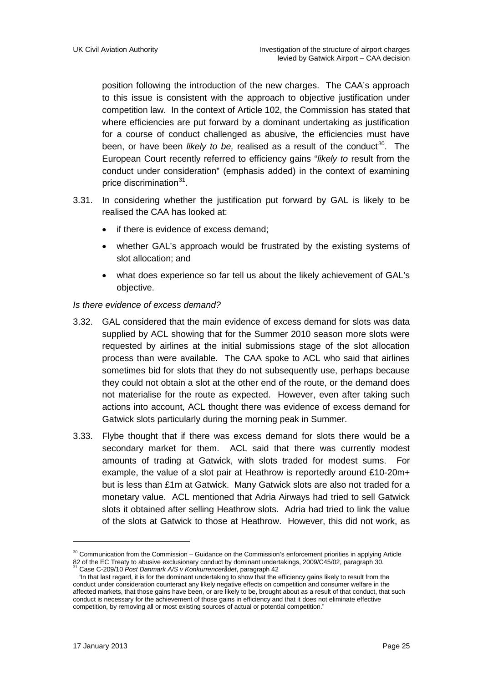position following the introduction of the new charges. The CAA's approach to this issue is consistent with the approach to objective justification under competition law. In the context of Article 102, the Commission has stated that where efficiencies are put forward by a dominant undertaking as justification for a course of conduct challenged as abusive, the efficiencies must have been, or have been *likely to be*, realised as a result of the conduct<sup>[30](#page-24-0)</sup>. The European Court recently referred to efficiency gains "*likely to* result from the conduct under consideration" (emphasis added) in the context of examining price discrimination<sup>[31](#page-24-1)</sup>.

- 3.31. In considering whether the justification put forward by GAL is likely to be realised the CAA has looked at:
	- if there is evidence of excess demand:
	- whether GAL's approach would be frustrated by the existing systems of slot allocation; and
	- what does experience so far tell us about the likely achievement of GAL's objective.

#### *Is there evidence of excess demand?*

- 3.32. GAL considered that the main evidence of excess demand for slots was data supplied by ACL showing that for the Summer 2010 season more slots were requested by airlines at the initial submissions stage of the slot allocation process than were available. The CAA spoke to ACL who said that airlines sometimes bid for slots that they do not subsequently use, perhaps because they could not obtain a slot at the other end of the route, or the demand does not materialise for the route as expected. However, even after taking such actions into account, ACL thought there was evidence of excess demand for Gatwick slots particularly during the morning peak in Summer.
- 3.33. Flybe thought that if there was excess demand for slots there would be a secondary market for them. ACL said that there was currently modest amounts of trading at Gatwick, with slots traded for modest sums. For example, the value of a slot pair at Heathrow is reportedly around £10-20m+ but is less than £1m at Gatwick. Many Gatwick slots are also not traded for a monetary value. ACL mentioned that Adria Airways had tried to sell Gatwick slots it obtained after selling Heathrow slots. Adria had tried to link the value of the slots at Gatwick to those at Heathrow. However, this did not work, as

<span id="page-24-0"></span><sup>&</sup>lt;sup>30</sup> Communication from the Commission – Guidance on the Commission's enforcement priorities in applying Article 82 of the EC Treaty to abusive exclusionary conduct by dominant undertakings, 2009/C45/02, paragraph 30.<br><sup>31</sup> Case C-209/10 *Post Danmark A/S v Konkurrencerådet*, paragraph 42

<span id="page-24-1"></span> <sup>&</sup>quot;In that last regard, it is for the dominant undertaking to show that the efficiency gains likely to result from the conduct under consideration counteract any likely negative effects on competition and consumer welfare in the affected markets, that those gains have been, or are likely to be, brought about as a result of that conduct, that such conduct is necessary for the achievement of those gains in efficiency and that it does not eliminate effective competition, by removing all or most existing sources of actual or potential competition."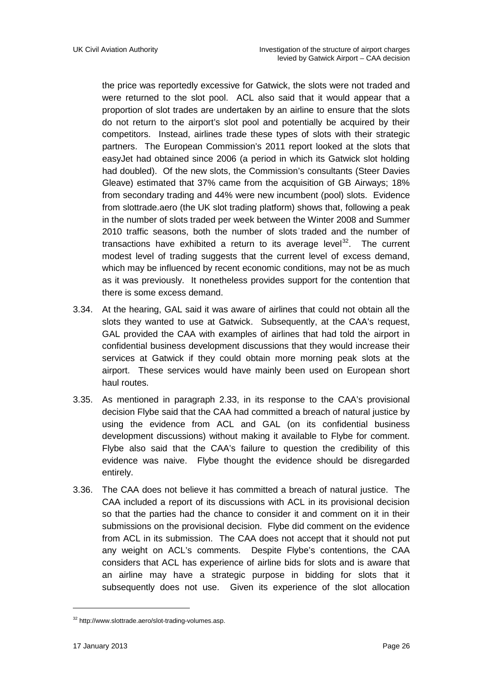the price was reportedly excessive for Gatwick, the slots were not traded and were returned to the slot pool. ACL also said that it would appear that a proportion of slot trades are undertaken by an airline to ensure that the slots do not return to the airport's slot pool and potentially be acquired by their competitors. Instead, airlines trade these types of slots with their strategic partners. The European Commission's 2011 report looked at the slots that easyJet had obtained since 2006 (a period in which its Gatwick slot holding had doubled). Of the new slots, the Commission's consultants (Steer Davies Gleave) estimated that 37% came from the acquisition of GB Airways; 18% from secondary trading and 44% were new incumbent (pool) slots. Evidence from slottrade.aero (the UK slot trading platform) shows that, following a peak in the number of slots traded per week between the Winter 2008 and Summer 2010 traffic seasons, both the number of slots traded and the number of transactions have exhibited a return to its average level $32$ . The current modest level of trading suggests that the current level of excess demand, which may be influenced by recent economic conditions, may not be as much as it was previously. It nonetheless provides support for the contention that there is some excess demand.

- 3.34. At the hearing, GAL said it was aware of airlines that could not obtain all the slots they wanted to use at Gatwick. Subsequently, at the CAA's request, GAL provided the CAA with examples of airlines that had told the airport in confidential business development discussions that they would increase their services at Gatwick if they could obtain more morning peak slots at the airport. These services would have mainly been used on European short haul routes.
- 3.35. As mentioned in paragraph 2.33, in its response to the CAA's provisional decision Flybe said that the CAA had committed a breach of natural justice by using the evidence from ACL and GAL (on its confidential business development discussions) without making it available to Flybe for comment. Flybe also said that the CAA's failure to question the credibility of this evidence was naive. Flybe thought the evidence should be disregarded entirely.
- 3.36. The CAA does not believe it has committed a breach of natural justice. The CAA included a report of its discussions with ACL in its provisional decision so that the parties had the chance to consider it and comment on it in their submissions on the provisional decision. Flybe did comment on the evidence from ACL in its submission. The CAA does not accept that it should not put any weight on ACL's comments. Despite Flybe's contentions, the CAA considers that ACL has experience of airline bids for slots and is aware that an airline may have a strategic purpose in bidding for slots that it subsequently does not use. Given its experience of the slot allocation

<span id="page-25-0"></span><sup>32</sup> [http://www.slottrade.aero/slot-trading-volumes.asp.](http://www.slottrade.aero/slot-trading-volumes.asp)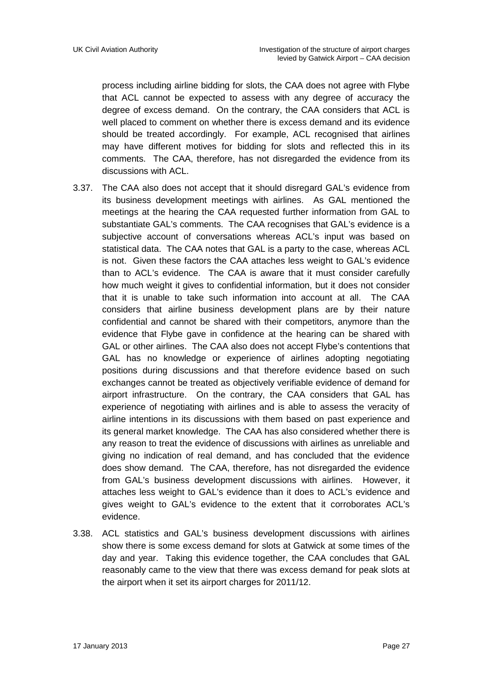process including airline bidding for slots, the CAA does not agree with Flybe that ACL cannot be expected to assess with any degree of accuracy the degree of excess demand. On the contrary, the CAA considers that ACL is well placed to comment on whether there is excess demand and its evidence should be treated accordingly. For example, ACL recognised that airlines may have different motives for bidding for slots and reflected this in its comments. The CAA, therefore, has not disregarded the evidence from its discussions with ACL.

- 3.37. The CAA also does not accept that it should disregard GAL's evidence from its business development meetings with airlines. As GAL mentioned the meetings at the hearing the CAA requested further information from GAL to substantiate GAL's comments. The CAA recognises that GAL's evidence is a subjective account of conversations whereas ACL's input was based on statistical data. The CAA notes that GAL is a party to the case, whereas ACL is not. Given these factors the CAA attaches less weight to GAL's evidence than to ACL's evidence. The CAA is aware that it must consider carefully how much weight it gives to confidential information, but it does not consider that it is unable to take such information into account at all. The CAA considers that airline business development plans are by their nature confidential and cannot be shared with their competitors, anymore than the evidence that Flybe gave in confidence at the hearing can be shared with GAL or other airlines. The CAA also does not accept Flybe's contentions that GAL has no knowledge or experience of airlines adopting negotiating positions during discussions and that therefore evidence based on such exchanges cannot be treated as objectively verifiable evidence of demand for airport infrastructure. On the contrary, the CAA considers that GAL has experience of negotiating with airlines and is able to assess the veracity of airline intentions in its discussions with them based on past experience and its general market knowledge. The CAA has also considered whether there is any reason to treat the evidence of discussions with airlines as unreliable and giving no indication of real demand, and has concluded that the evidence does show demand. The CAA, therefore, has not disregarded the evidence from GAL's business development discussions with airlines. However, it attaches less weight to GAL's evidence than it does to ACL's evidence and gives weight to GAL's evidence to the extent that it corroborates ACL's evidence.
- 3.38. ACL statistics and GAL's business development discussions with airlines show there is some excess demand for slots at Gatwick at some times of the day and year. Taking this evidence together, the CAA concludes that GAL reasonably came to the view that there was excess demand for peak slots at the airport when it set its airport charges for 2011/12.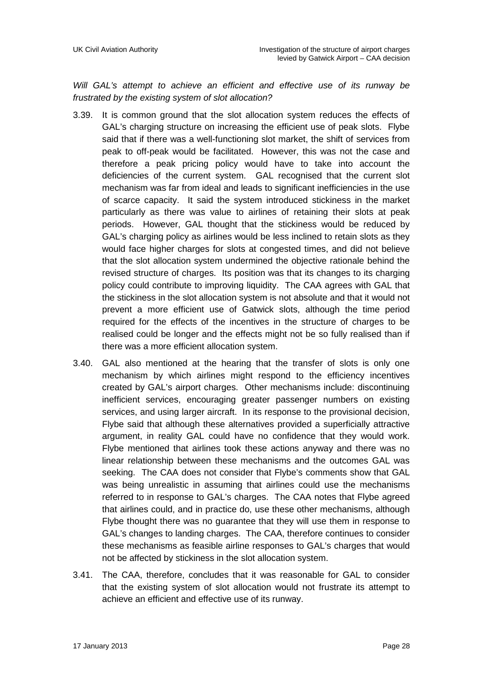*Will GAL's attempt to achieve an efficient and effective use of its runway be frustrated by the existing system of slot allocation?*

- 3.39. It is common ground that the slot allocation system reduces the effects of GAL's charging structure on increasing the efficient use of peak slots. Flybe said that if there was a well-functioning slot market, the shift of services from peak to off-peak would be facilitated. However, this was not the case and therefore a peak pricing policy would have to take into account the deficiencies of the current system. GAL recognised that the current slot mechanism was far from ideal and leads to significant inefficiencies in the use of scarce capacity. It said the system introduced stickiness in the market particularly as there was value to airlines of retaining their slots at peak periods. However, GAL thought that the stickiness would be reduced by GAL's charging policy as airlines would be less inclined to retain slots as they would face higher charges for slots at congested times, and did not believe that the slot allocation system undermined the objective rationale behind the revised structure of charges. Its position was that its changes to its charging policy could contribute to improving liquidity. The CAA agrees with GAL that the stickiness in the slot allocation system is not absolute and that it would not prevent a more efficient use of Gatwick slots, although the time period required for the effects of the incentives in the structure of charges to be realised could be longer and the effects might not be so fully realised than if there was a more efficient allocation system.
- 3.40. GAL also mentioned at the hearing that the transfer of slots is only one mechanism by which airlines might respond to the efficiency incentives created by GAL's airport charges. Other mechanisms include: discontinuing inefficient services, encouraging greater passenger numbers on existing services, and using larger aircraft. In its response to the provisional decision, Flybe said that although these alternatives provided a superficially attractive argument, in reality GAL could have no confidence that they would work. Flybe mentioned that airlines took these actions anyway and there was no linear relationship between these mechanisms and the outcomes GAL was seeking. The CAA does not consider that Flybe's comments show that GAL was being unrealistic in assuming that airlines could use the mechanisms referred to in response to GAL's charges. The CAA notes that Flybe agreed that airlines could, and in practice do, use these other mechanisms, although Flybe thought there was no guarantee that they will use them in response to GAL's changes to landing charges. The CAA, therefore continues to consider these mechanisms as feasible airline responses to GAL's charges that would not be affected by stickiness in the slot allocation system.
- 3.41. The CAA, therefore, concludes that it was reasonable for GAL to consider that the existing system of slot allocation would not frustrate its attempt to achieve an efficient and effective use of its runway.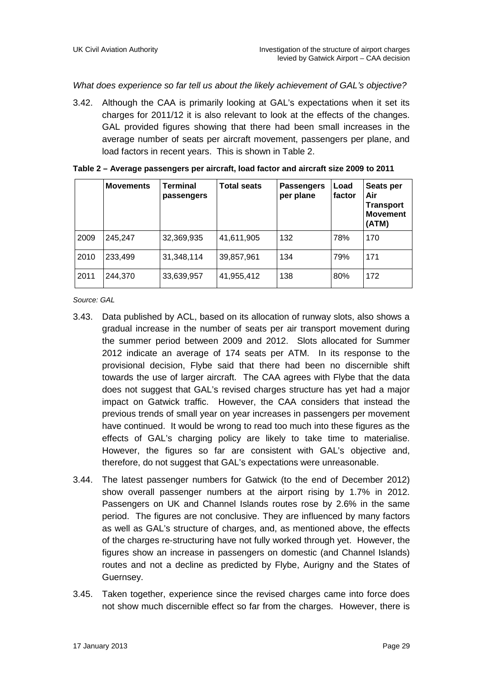*What does experience so far tell us about the likely achievement of GAL's objective?*

3.42. Although the CAA is primarily looking at GAL's expectations when it set its charges for 2011/12 it is also relevant to look at the effects of the changes. GAL provided figures showing that there had been small increases in the average number of seats per aircraft movement, passengers per plane, and load factors in recent years. This is shown in Table 2.

|      | <b>Movements</b> | <b>Terminal</b><br>passengers | Total seats | <b>Passengers</b><br>per plane | Load<br>factor | Seats per<br>Air<br><b>Transport</b><br><b>Movement</b><br>(ATM) |
|------|------------------|-------------------------------|-------------|--------------------------------|----------------|------------------------------------------------------------------|
| 2009 | 245,247          | 32,369,935                    | 41,611,905  | 132                            | 78%            | 170                                                              |
| 2010 | 233,499          | 31,348,114                    | 39,857,961  | 134                            | 79%            | 171                                                              |
| 2011 | 244,370          | 33,639,957                    | 41,955,412  | 138                            | 80%            | 172                                                              |

| Table 2 - Average passengers per aircraft, load factor and aircraft size 2009 to 2011 |  |  |  |
|---------------------------------------------------------------------------------------|--|--|--|
|---------------------------------------------------------------------------------------|--|--|--|

*Source: GAL*

- 3.43. Data published by ACL, based on its allocation of runway slots, also shows a gradual increase in the number of seats per air transport movement during the summer period between 2009 and 2012. Slots allocated for Summer 2012 indicate an average of 174 seats per ATM. In its response to the provisional decision, Flybe said that there had been no discernible shift towards the use of larger aircraft. The CAA agrees with Flybe that the data does not suggest that GAL's revised charges structure has yet had a major impact on Gatwick traffic. However, the CAA considers that instead the previous trends of small year on year increases in passengers per movement have continued. It would be wrong to read too much into these figures as the effects of GAL's charging policy are likely to take time to materialise. However, the figures so far are consistent with GAL's objective and, therefore, do not suggest that GAL's expectations were unreasonable.
- 3.44. The latest passenger numbers for Gatwick (to the end of December 2012) show overall passenger numbers at the airport rising by 1.7% in 2012. Passengers on UK and Channel Islands routes rose by 2.6% in the same period. The figures are not conclusive. They are influenced by many factors as well as GAL's structure of charges, and, as mentioned above, the effects of the charges re-structuring have not fully worked through yet. However, the figures show an increase in passengers on domestic (and Channel Islands) routes and not a decline as predicted by Flybe, Aurigny and the States of Guernsey.
- 3.45. Taken together, experience since the revised charges came into force does not show much discernible effect so far from the charges. However, there is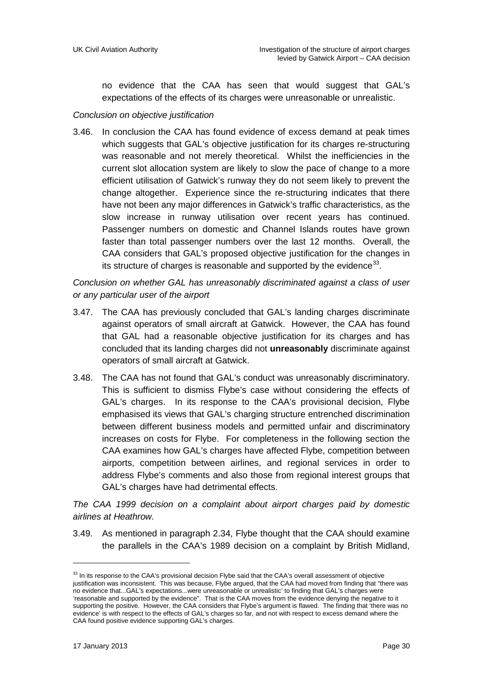no evidence that the CAA has seen that would suggest that GAL's expectations of the effects of its charges were unreasonable or unrealistic.

#### *Conclusion on objective justification*

3.46. In conclusion the CAA has found evidence of excess demand at peak times which suggests that GAL's objective justification for its charges re-structuring was reasonable and not merely theoretical. Whilst the inefficiencies in the current slot allocation system are likely to slow the pace of change to a more efficient utilisation of Gatwick's runway they do not seem likely to prevent the change altogether. Experience since the re-structuring indicates that there have not been any major differences in Gatwick's traffic characteristics, as the slow increase in runway utilisation over recent years has continued. Passenger numbers on domestic and Channel Islands routes have grown faster than total passenger numbers over the last 12 months. Overall, the CAA considers that GAL's proposed objective justification for the changes in its structure of charges is reasonable and supported by the evidence $^{33}$  $^{33}$  $^{33}$ .

*Conclusion on whether GAL has unreasonably discriminated against a class of user or any particular user of the airport*

- 3.47. The CAA has previously concluded that GAL's landing charges discriminate against operators of small aircraft at Gatwick. However, the CAA has found that GAL had a reasonable objective justification for its charges and has concluded that its landing charges did not **unreasonably** discriminate against operators of small aircraft at Gatwick.
- 3.48. The CAA has not found that GAL's conduct was unreasonably discriminatory. This is sufficient to dismiss Flybe's case without considering the effects of GAL's charges. In its response to the CAA's provisional decision, Flybe emphasised its views that GAL's charging structure entrenched discrimination between different business models and permitted unfair and discriminatory increases on costs for Flybe. For completeness in the following section the CAA examines how GAL's charges have affected Flybe, competition between airports, competition between airlines, and regional services in order to address Flybe's comments and also those from regional interest groups that GAL's charges have had detrimental effects.

*The CAA 1999 decision on a complaint about airport charges paid by domestic airlines at Heathrow.*

3.49. As mentioned in paragraph 2.34, Flybe thought that the CAA should examine the parallels in the CAA's 1989 decision on a complaint by British Midland,

<u>.</u>

<span id="page-29-0"></span><sup>&</sup>lt;sup>33</sup> In its response to the CAA's provisional decision Flybe said that the CAA's overall assessment of objective justification was inconsistent. This was because, Flybe argued, that the CAA had moved from finding that "there was no evidence that...GAL's expectations...were unreasonable or unrealistic' to finding that GAL's charges were 'reasonable and supported by the evidence". That is the CAA moves from the evidence denying the negative to it supporting the positive. However, the CAA considers that Flybe's argument is flawed. The finding that 'there was no evidence' is with respect to the effects of GAL's charges so far, and not with respect to excess demand where the CAA found positive evidence supporting GAL's charges.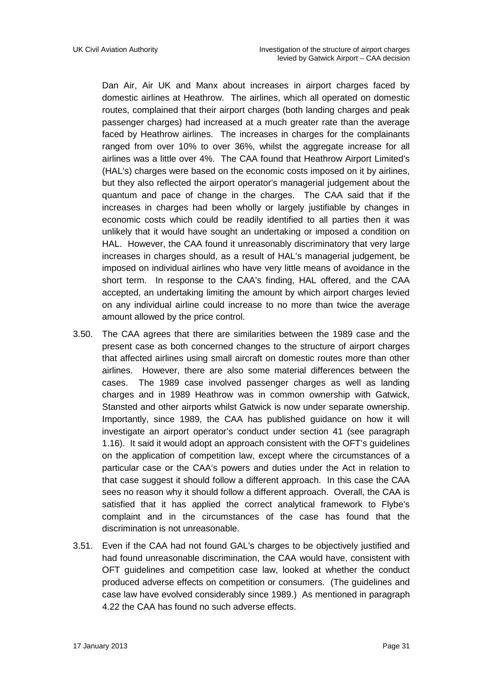Dan Air, Air UK and Manx about increases in airport charges faced by domestic airlines at Heathrow. The airlines, which all operated on domestic routes, complained that their airport charges (both landing charges and peak passenger charges) had increased at a much greater rate than the average faced by Heathrow airlines. The increases in charges for the complainants ranged from over 10% to over 36%, whilst the aggregate increase for all airlines was a little over 4%. The CAA found that Heathrow Airport Limited's (HAL's) charges were based on the economic costs imposed on it by airlines, but they also reflected the airport operator's managerial judgement about the quantum and pace of change in the charges. The CAA said that if the increases in charges had been wholly or largely justifiable by changes in economic costs which could be readily identified to all parties then it was unlikely that it would have sought an undertaking or imposed a condition on HAL. However, the CAA found it unreasonably discriminatory that very large increases in charges should, as a result of HAL's managerial judgement, be imposed on individual airlines who have very little means of avoidance in the short term. In response to the CAA's finding, HAL offered, and the CAA accepted, an undertaking limiting the amount by which airport charges levied on any individual airline could increase to no more than twice the average amount allowed by the price control.

- 3.50. The CAA agrees that there are similarities between the 1989 case and the present case as both concerned changes to the structure of airport charges that affected airlines using small aircraft on domestic routes more than other airlines. However, there are also some material differences between the cases. The 1989 case involved passenger charges as well as landing charges and in 1989 Heathrow was in common ownership with Gatwick, Stansted and other airports whilst Gatwick is now under separate ownership. Importantly, since 1989, the CAA has published guidance on how it will investigate an airport operator's conduct under section 41 (see paragraph 1.16). It said it would adopt an approach consistent with the OFT's guidelines on the application of competition law, except where the circumstances of a particular case or the CAA's powers and duties under the Act in relation to that case suggest it should follow a different approach. In this case the CAA sees no reason why it should follow a different approach. Overall, the CAA is satisfied that it has applied the correct analytical framework to Flybe's complaint and in the circumstances of the case has found that the discrimination is not unreasonable.
- 3.51. Even if the CAA had not found GAL's charges to be objectively justified and had found unreasonable discrimination, the CAA would have, consistent with OFT guidelines and competition case law, looked at whether the conduct produced adverse effects on competition or consumers. (The guidelines and case law have evolved considerably since 1989.) As mentioned in paragraph 4.22 the CAA has found no such adverse effects.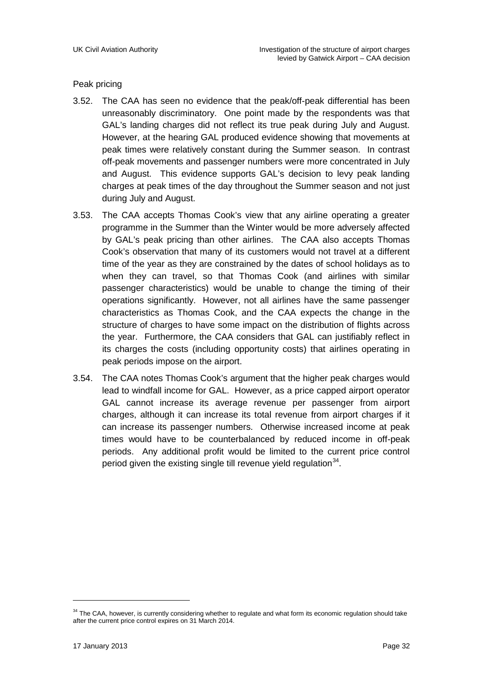#### Peak pricing

- 3.52. The CAA has seen no evidence that the peak/off-peak differential has been unreasonably discriminatory. One point made by the respondents was that GAL's landing charges did not reflect its true peak during July and August. However, at the hearing GAL produced evidence showing that movements at peak times were relatively constant during the Summer season. In contrast off-peak movements and passenger numbers were more concentrated in July and August. This evidence supports GAL's decision to levy peak landing charges at peak times of the day throughout the Summer season and not just during July and August.
- 3.53. The CAA accepts Thomas Cook's view that any airline operating a greater programme in the Summer than the Winter would be more adversely affected by GAL's peak pricing than other airlines. The CAA also accepts Thomas Cook's observation that many of its customers would not travel at a different time of the year as they are constrained by the dates of school holidays as to when they can travel, so that Thomas Cook (and airlines with similar passenger characteristics) would be unable to change the timing of their operations significantly. However, not all airlines have the same passenger characteristics as Thomas Cook, and the CAA expects the change in the structure of charges to have some impact on the distribution of flights across the year. Furthermore, the CAA considers that GAL can justifiably reflect in its charges the costs (including opportunity costs) that airlines operating in peak periods impose on the airport.
- 3.54. The CAA notes Thomas Cook's argument that the higher peak charges would lead to windfall income for GAL. However, as a price capped airport operator GAL cannot increase its average revenue per passenger from airport charges, although it can increase its total revenue from airport charges if it can increase its passenger numbers. Otherwise increased income at peak times would have to be counterbalanced by reduced income in off-peak periods. Any additional profit would be limited to the current price control period given the existing single till revenue yield regulation  $34$ .

<span id="page-31-0"></span><sup>&</sup>lt;sup>34</sup> The CAA, however, is currently considering whether to regulate and what form its economic regulation should take after the current price control expires on 31 March 2014.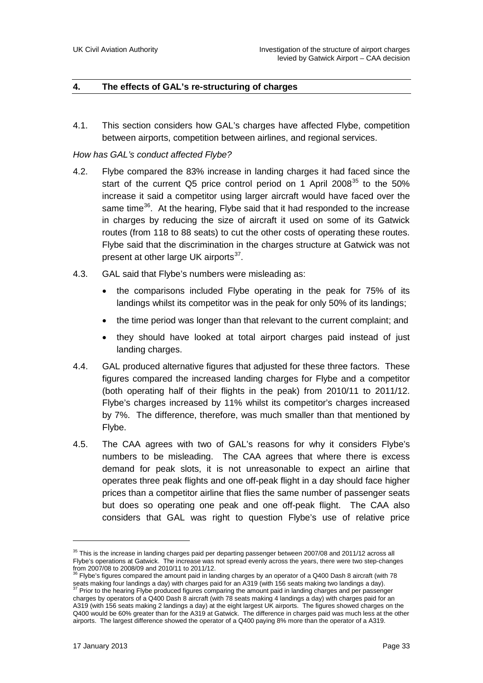#### **4. The effects of GAL's re-structuring of charges**

4.1. This section considers how GAL's charges have affected Flybe, competition between airports, competition between airlines, and regional services.

#### *How has GAL's conduct affected Flybe?*

- 4.2. Flybe compared the 83% increase in landing charges it had faced since the start of the current Q5 price control period on 1 April 2008<sup>[35](#page-32-0)</sup> to the 50% increase it said a competitor using larger aircraft would have faced over the same time<sup>[36](#page-32-1)</sup>. At the hearing, Flybe said that it had responded to the increase in charges by reducing the size of aircraft it used on some of its Gatwick routes (from 118 to 88 seats) to cut the other costs of operating these routes. Flybe said that the discrimination in the charges structure at Gatwick was not present at other large UK airports<sup>[37](#page-32-2)</sup>.
- 4.3. GAL said that Flybe's numbers were misleading as:
	- the comparisons included Flybe operating in the peak for 75% of its landings whilst its competitor was in the peak for only 50% of its landings;
	- the time period was longer than that relevant to the current complaint; and
	- they should have looked at total airport charges paid instead of just landing charges.
- 4.4. GAL produced alternative figures that adjusted for these three factors. These figures compared the increased landing charges for Flybe and a competitor (both operating half of their flights in the peak) from 2010/11 to 2011/12. Flybe's charges increased by 11% whilst its competitor's charges increased by 7%. The difference, therefore, was much smaller than that mentioned by Flybe.
- 4.5. The CAA agrees with two of GAL's reasons for why it considers Flybe's numbers to be misleading. The CAA agrees that where there is excess demand for peak slots, it is not unreasonable to expect an airline that operates three peak flights and one off-peak flight in a day should face higher prices than a competitor airline that flies the same number of passenger seats but does so operating one peak and one off-peak flight. The CAA also considers that GAL was right to question Flybe's use of relative price

<span id="page-32-0"></span> $35$  This is the increase in landing charges paid per departing passenger between 2007/08 and 2011/12 across all Flybe's operations at Gatwick. The increase was not spread evenly across the years, there were two step-changes from 2007/08 to 2008/09 and 2010/11 to 2011/12.

<span id="page-32-1"></span><sup>36</sup> Flybe's figures compared the amount paid in landing charges by an operator of a Q400 Dash 8 aircraft (with 78 seats making four landings a day) with charges paid for an A319 (with 156 seats making two landings a day). <sup>37</sup> Prior to the hearing Flybe produced figures comparing the amount paid in landing charges and per passenger

<span id="page-32-2"></span>charges by operators of a Q400 Dash 8 aircraft (with 78 seats making 4 landings a day) with charges paid for an A319 (with 156 seats making 2 landings a day) at the eight largest UK airports. The figures showed charges on the Q400 would be 60% greater than for the A319 at Gatwick. The difference in charges paid was much less at the other airports. The largest difference showed the operator of a Q400 paying 8% more than the operator of a A319.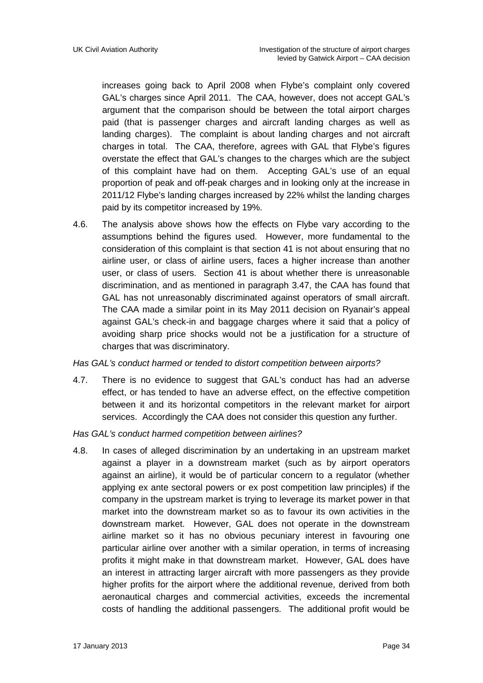increases going back to April 2008 when Flybe's complaint only covered GAL's charges since April 2011. The CAA, however, does not accept GAL's argument that the comparison should be between the total airport charges paid (that is passenger charges and aircraft landing charges as well as landing charges). The complaint is about landing charges and not aircraft charges in total. The CAA, therefore, agrees with GAL that Flybe's figures overstate the effect that GAL's changes to the charges which are the subject of this complaint have had on them. Accepting GAL's use of an equal proportion of peak and off-peak charges and in looking only at the increase in 2011/12 Flybe's landing charges increased by 22% whilst the landing charges paid by its competitor increased by 19%.

4.6. The analysis above shows how the effects on Flybe vary according to the assumptions behind the figures used. However, more fundamental to the consideration of this complaint is that section 41 is not about ensuring that no airline user, or class of airline users, faces a higher increase than another user, or class of users. Section 41 is about whether there is unreasonable discrimination, and as mentioned in paragraph 3.47, the CAA has found that GAL has not unreasonably discriminated against operators of small aircraft. The CAA made a similar point in its May 2011 decision on Ryanair's appeal against GAL's check-in and baggage charges where it said that a policy of avoiding sharp price shocks would not be a justification for a structure of charges that was discriminatory.

#### *Has GAL's conduct harmed or tended to distort competition between airports?*

4.7. There is no evidence to suggest that GAL's conduct has had an adverse effect, or has tended to have an adverse effect, on the effective competition between it and its horizontal competitors in the relevant market for airport services. Accordingly the CAA does not consider this question any further.

#### *Has GAL's conduct harmed competition between airlines?*

4.8. In cases of alleged discrimination by an undertaking in an upstream market against a player in a downstream market (such as by airport operators against an airline), it would be of particular concern to a regulator (whether applying ex ante sectoral powers or ex post competition law principles) if the company in the upstream market is trying to leverage its market power in that market into the downstream market so as to favour its own activities in the downstream market. However, GAL does not operate in the downstream airline market so it has no obvious pecuniary interest in favouring one particular airline over another with a similar operation, in terms of increasing profits it might make in that downstream market. However, GAL does have an interest in attracting larger aircraft with more passengers as they provide higher profits for the airport where the additional revenue, derived from both aeronautical charges and commercial activities, exceeds the incremental costs of handling the additional passengers. The additional profit would be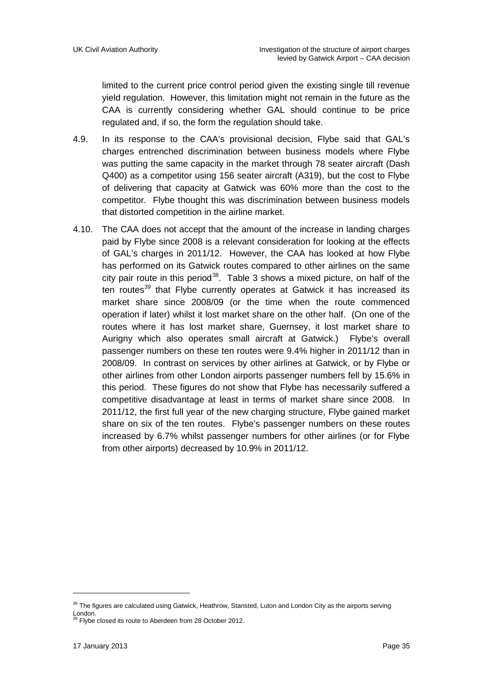limited to the current price control period given the existing single till revenue yield regulation. However, this limitation might not remain in the future as the CAA is currently considering whether GAL should continue to be price regulated and, if so, the form the regulation should take.

- 4.9. In its response to the CAA's provisional decision, Flybe said that GAL's charges entrenched discrimination between business models where Flybe was putting the same capacity in the market through 78 seater aircraft (Dash Q400) as a competitor using 156 seater aircraft (A319), but the cost to Flybe of delivering that capacity at Gatwick was 60% more than the cost to the competitor. Flybe thought this was discrimination between business models that distorted competition in the airline market.
- 4.10. The CAA does not accept that the amount of the increase in landing charges paid by Flybe since 2008 is a relevant consideration for looking at the effects of GAL's charges in 2011/12. However, the CAA has looked at how Flybe has performed on its Gatwick routes compared to other airlines on the same city pair route in this period<sup>38</sup>. Table 3 shows a mixed picture, on half of the ten routes<sup>[39](#page-34-1)</sup> that Flybe currently operates at Gatwick it has increased its market share since 2008/09 (or the time when the route commenced operation if later) whilst it lost market share on the other half. (On one of the routes where it has lost market share, Guernsey, it lost market share to Aurigny which also operates small aircraft at Gatwick.) Flybe's overall passenger numbers on these ten routes were 9.4% higher in 2011/12 than in 2008/09. In contrast on services by other airlines at Gatwick, or by Flybe or other airlines from other London airports passenger numbers fell by 15.6% in this period. These figures do not show that Flybe has necessarily suffered a competitive disadvantage at least in terms of market share since 2008. In 2011/12, the first full year of the new charging structure, Flybe gained market share on six of the ten routes. Flybe's passenger numbers on these routes increased by 6.7% whilst passenger numbers for other airlines (or for Flybe from other airports) decreased by 10.9% in 2011/12.

<span id="page-34-1"></span><span id="page-34-0"></span><sup>&</sup>lt;sup>38</sup> The figures are calculated using Gatwick, Heathrow, Stansted, Luton and London City as the airports serving London.

Flybe closed its route to Aberdeen from 28 October 2012.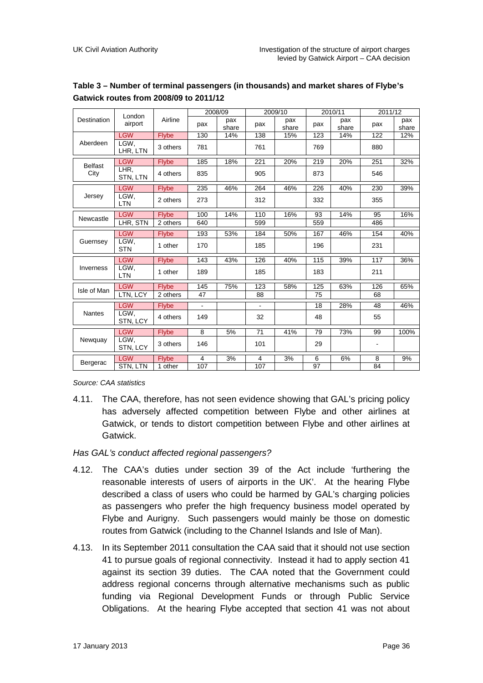|                | London             |              | 2008/09        |              | 2009/10        |              | 2010/11 |              | 2011/12 |              |
|----------------|--------------------|--------------|----------------|--------------|----------------|--------------|---------|--------------|---------|--------------|
| Destination    | airport            | Airline      | pax            | pax<br>share | pax            | pax<br>share | pax     | pax<br>share | pax     | pax<br>share |
|                | <b>LGW</b>         | <b>Flybe</b> | 130            | 14%          | 138            | 15%          | 123     | 14%          | 122     | 12%          |
| Aberdeen       | LGW.<br>LHR, LTN   | 3 others     | 781            |              | 761            |              | 769     |              | 880     |              |
| <b>Belfast</b> | <b>LGW</b>         | <b>Flybe</b> | 185            | 18%          | 221            | 20%          | 219     | 20%          | 251     | 32%          |
| City           | LHR.<br>STN, LTN   | 4 others     | 835            |              | 905            |              | 873     |              | 546     |              |
|                | <b>LGW</b>         | <b>Flybe</b> | 235            | 46%          | 264            | 46%          | 226     | 40%          | 230     | 39%          |
| Jersey         | LGW,<br><b>LTN</b> | 2 others     | 273            |              | 312            |              | 332     |              | 355     |              |
|                | <b>LGW</b>         | <b>Flybe</b> | 100            | 14%          | 110            | 16%          | 93      | 14%          | 95      | 16%          |
| Newcastle      | LHR, STN           | 2 others     | 640            |              | 599            |              | 559     |              | 486     |              |
|                | <b>LGW</b>         | <b>Flybe</b> | 193            | 53%          | 184            | 50%          | 167     | 46%          | 154     | 40%          |
| Guernsey       | LGW.<br><b>STN</b> | 1 other      | 170            |              | 185            |              | 196     |              | 231     |              |
|                | <b>LGW</b>         | <b>Flybe</b> | 143            | 43%          | 126            | 40%          | 115     | 39%          | 117     | 36%          |
| Inverness      | LGW.<br><b>LTN</b> | 1 other      | 189            |              | 185            |              | 183     |              | 211     |              |
|                | <b>LGW</b>         | <b>Flybe</b> | 145            | 75%          | 123            | 58%          | 125     | 63%          | 126     | 65%          |
| Isle of Man    | LTN, LCY           | 2 others     | 47             |              | 88             |              | 75      |              | 68      |              |
| <b>Nantes</b>  | <b>LGW</b>         | <b>Flybe</b> | $\blacksquare$ |              | $\blacksquare$ |              | 18      | 28%          | 48      | 46%          |
|                | LGW.<br>STN, LCY   | 4 others     | 149            |              | 32             |              | 48      |              | 55      |              |
| Newquay        | <b>LGW</b>         | <b>Flybe</b> | 8              | 5%           | 71             | 41%          | 79      | 73%          | 99      | 100%         |
|                | LGW.<br>STN, LCY   | 3 others     | 146            |              | 101            |              | 29      |              |         |              |
|                | <b>LGW</b>         | <b>Flybe</b> | $\overline{4}$ | 3%           | 4              | 3%           | 6       | 6%           | 8       | 9%           |
| Bergerac       | STN, LTN           | 1 other      | 107            |              | 107            |              | 97      |              | 84      |              |

#### **Table 3 – Number of terminal passengers (in thousands) and market shares of Flybe's Gatwick routes from 2008/09 to 2011/12**

*Source: CAA statistics*

4.11. The CAA, therefore, has not seen evidence showing that GAL's pricing policy has adversely affected competition between Flybe and other airlines at Gatwick, or tends to distort competition between Flybe and other airlines at Gatwick.

#### *Has GAL's conduct affected regional passengers?*

- 4.12. The CAA's duties under section 39 of the Act include 'furthering the reasonable interests of users of airports in the UK'. At the hearing Flybe described a class of users who could be harmed by GAL's charging policies as passengers who prefer the high frequency business model operated by Flybe and Aurigny. Such passengers would mainly be those on domestic routes from Gatwick (including to the Channel Islands and Isle of Man).
- 4.13. In its September 2011 consultation the CAA said that it should not use section 41 to pursue goals of regional connectivity. Instead it had to apply section 41 against its section 39 duties. The CAA noted that the Government could address regional concerns through alternative mechanisms such as public funding via Regional Development Funds or through Public Service Obligations. At the hearing Flybe accepted that section 41 was not about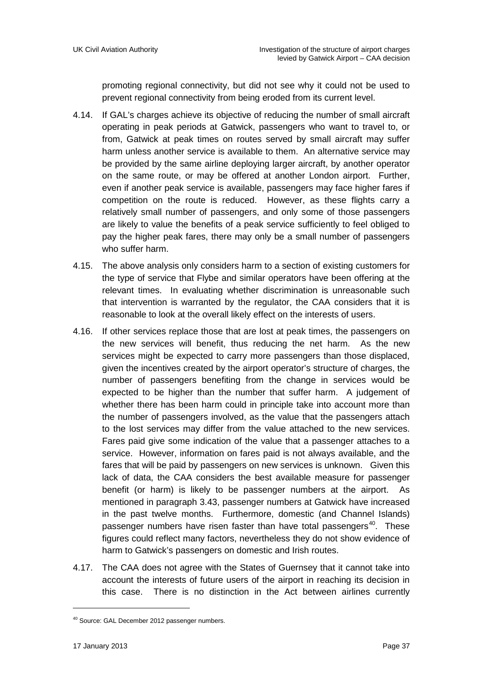promoting regional connectivity, but did not see why it could not be used to prevent regional connectivity from being eroded from its current level.

- 4.14. If GAL's charges achieve its objective of reducing the number of small aircraft operating in peak periods at Gatwick, passengers who want to travel to, or from, Gatwick at peak times on routes served by small aircraft may suffer harm unless another service is available to them. An alternative service may be provided by the same airline deploying larger aircraft, by another operator on the same route, or may be offered at another London airport. Further, even if another peak service is available, passengers may face higher fares if competition on the route is reduced. However, as these flights carry a relatively small number of passengers, and only some of those passengers are likely to value the benefits of a peak service sufficiently to feel obliged to pay the higher peak fares, there may only be a small number of passengers who suffer harm.
- 4.15. The above analysis only considers harm to a section of existing customers for the type of service that Flybe and similar operators have been offering at the relevant times. In evaluating whether discrimination is unreasonable such that intervention is warranted by the regulator, the CAA considers that it is reasonable to look at the overall likely effect on the interests of users.
- 4.16. If other services replace those that are lost at peak times, the passengers on the new services will benefit, thus reducing the net harm. As the new services might be expected to carry more passengers than those displaced, given the incentives created by the airport operator's structure of charges, the number of passengers benefiting from the change in services would be expected to be higher than the number that suffer harm. A judgement of whether there has been harm could in principle take into account more than the number of passengers involved, as the value that the passengers attach to the lost services may differ from the value attached to the new services. Fares paid give some indication of the value that a passenger attaches to a service. However, information on fares paid is not always available, and the fares that will be paid by passengers on new services is unknown. Given this lack of data, the CAA considers the best available measure for passenger benefit (or harm) is likely to be passenger numbers at the airport. As mentioned in paragraph 3.43, passenger numbers at Gatwick have increased in the past twelve months. Furthermore, domestic (and Channel Islands) passenger numbers have risen faster than have total passengers<sup>[40](#page-36-0)</sup>. These figures could reflect many factors, nevertheless they do not show evidence of harm to Gatwick's passengers on domestic and Irish routes.
- 4.17. The CAA does not agree with the States of Guernsey that it cannot take into account the interests of future users of the airport in reaching its decision in this case. There is no distinction in the Act between airlines currently

<span id="page-36-0"></span><sup>40</sup> Source: GAL December 2012 passenger numbers.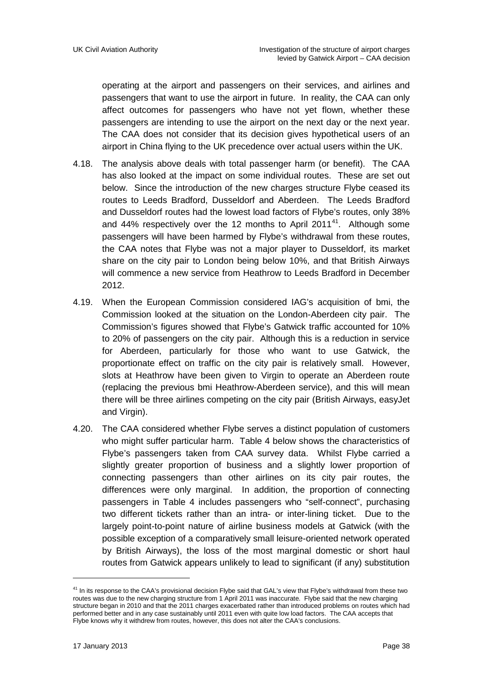operating at the airport and passengers on their services, and airlines and passengers that want to use the airport in future. In reality, the CAA can only affect outcomes for passengers who have not yet flown, whether these passengers are intending to use the airport on the next day or the next year. The CAA does not consider that its decision gives hypothetical users of an airport in China flying to the UK precedence over actual users within the UK.

- 4.18. The analysis above deals with total passenger harm (or benefit). The CAA has also looked at the impact on some individual routes. These are set out below. Since the introduction of the new charges structure Flybe ceased its routes to Leeds Bradford, Dusseldorf and Aberdeen. The Leeds Bradford and Dusseldorf routes had the lowest load factors of Flybe's routes, only 38% and 44% respectively over the 12 months to April 2011 $41$ . Although some passengers will have been harmed by Flybe's withdrawal from these routes, the CAA notes that Flybe was not a major player to Dusseldorf, its market share on the city pair to London being below 10%, and that British Airways will commence a new service from Heathrow to Leeds Bradford in December 2012.
- 4.19. When the European Commission considered IAG's acquisition of bmi, the Commission looked at the situation on the London-Aberdeen city pair. The Commission's figures showed that Flybe's Gatwick traffic accounted for 10% to 20% of passengers on the city pair. Although this is a reduction in service for Aberdeen, particularly for those who want to use Gatwick, the proportionate effect on traffic on the city pair is relatively small. However, slots at Heathrow have been given to Virgin to operate an Aberdeen route (replacing the previous bmi Heathrow-Aberdeen service), and this will mean there will be three airlines competing on the city pair (British Airways, easyJet and Virgin).
- 4.20. The CAA considered whether Flybe serves a distinct population of customers who might suffer particular harm. Table 4 below shows the characteristics of Flybe's passengers taken from CAA survey data. Whilst Flybe carried a slightly greater proportion of business and a slightly lower proportion of connecting passengers than other airlines on its city pair routes, the differences were only marginal. In addition, the proportion of connecting passengers in Table 4 includes passengers who "self-connect", purchasing two different tickets rather than an intra- or inter-lining ticket. Due to the largely point-to-point nature of airline business models at Gatwick (with the possible exception of a comparatively small leisure-oriented network operated by British Airways), the loss of the most marginal domestic or short haul routes from Gatwick appears unlikely to lead to significant (if any) substitution

<u>.</u>

<span id="page-37-0"></span><sup>&</sup>lt;sup>41</sup> In its response to the CAA's provisional decision Flybe said that GAL's view that Flybe's withdrawal from these two routes was due to the new charging structure from 1 April 2011 was inaccurate. Flybe said that the new charging structure began in 2010 and that the 2011 charges exacerbated rather than introduced problems on routes which had performed better and in any case sustainably until 2011 even with quite low load factors. The CAA accepts that Flybe knows why it withdrew from routes, however, this does not alter the CAA's conclusions.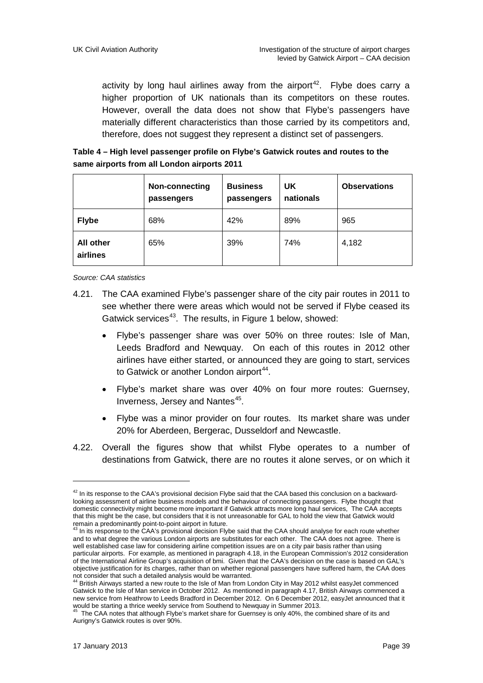activity by long haul airlines away from the airport<sup>[42](#page-38-0)</sup>. Flybe does carry a higher proportion of UK nationals than its competitors on these routes. However, overall the data does not show that Flybe's passengers have materially different characteristics than those carried by its competitors and, therefore, does not suggest they represent a distinct set of passengers.

#### **Table 4 – High level passenger profile on Flybe's Gatwick routes and routes to the same airports from all London airports 2011**

|                              | Non-connecting<br>passengers | <b>Business</b><br>passengers | UK.<br>nationals | <b>Observations</b> |
|------------------------------|------------------------------|-------------------------------|------------------|---------------------|
| <b>Flybe</b>                 | 68%                          | 42%                           | 89%              | 965                 |
| <b>All other</b><br>airlines | 65%                          | 39%                           | 74%              | 4,182               |

*Source: CAA statistics*

- 4.21. The CAA examined Flybe's passenger share of the city pair routes in 2011 to see whether there were areas which would not be served if Flybe ceased its Gatwick services<sup>[43](#page-38-1)</sup>. The results, in Figure 1 below, showed:
	- Flybe's passenger share was over 50% on three routes: Isle of Man, Leeds Bradford and Newquay. On each of this routes in 2012 other airlines have either started, or announced they are going to start, services to Gatwick or another London airport<sup>[44](#page-38-2)</sup>.
	- Flybe's market share was over 40% on four more routes: Guernsey, Inverness, Jersey and Nantes [45](#page-38-3) .
	- Flybe was a minor provider on four routes. Its market share was under 20% for Aberdeen, Bergerac, Dusseldorf and Newcastle.
- 4.22. Overall the figures show that whilst Flybe operates to a number of destinations from Gatwick, there are no routes it alone serves, or on which it

<span id="page-38-0"></span> $42$  In its response to the CAA's provisional decision Flybe said that the CAA based this conclusion on a backwardlooking assessment of airline business models and the behaviour of connecting passengers. Flybe thought that domestic connectivity might become more important if Gatwick attracts more long haul services, The CAA accepts that this might be the case, but considers that it is not unreasonable for GAL to hold the view that Gatwick would remain a predominantly point-to-point airport in future.<br>
<sup>43</sup> In its response to the CAA's provisional decision Flybe said that the CAA should analyse for each route whether

<span id="page-38-1"></span>and to what degree the various London airports are substitutes for each other. The CAA does not agree. There is well established case law for considering airline competition issues are on a city pair basis rather than using particular airports. For example, as mentioned in paragraph 4.18, in the European Commission's 2012 consideration of the International Airline Group's acquisition of bmi. Given that the CAA's decision on the case is based on GAL's objective justification for its charges, rather than on whether regional passengers have suffered harm, the CAA does<br>not consider that such a detailed analysis would be warranted.<br><sup>44</sup> British Airways stated a paymenta is

<span id="page-38-2"></span>British Airways started a new route to the Isle of Man from London City in May 2012 whilst easyJet commenced Gatwick to the Isle of Man service in October 2012. As mentioned in paragraph 4.17, British Airways commenced a new service from Heathrow to Leeds Bradford in December 2012. On 6 December 2012, easyJet announced that it

<span id="page-38-3"></span>would be starting a thrice weekly service from Southend to Newquay in Summer 2013.<br><sup>45</sup> The CAA notes that although Flybe's market share for Guernsey is only 40%, the combined share of its and Aurigny's Gatwick routes is over 90%.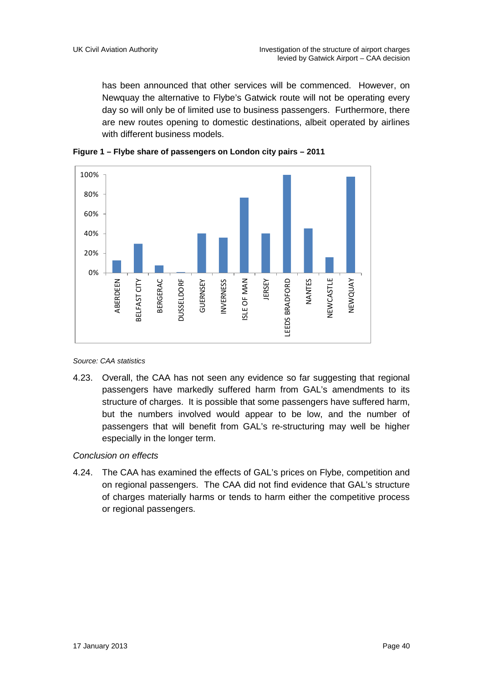has been announced that other services will be commenced. However, on Newquay the alternative to Flybe's Gatwick route will not be operating every day so will only be of limited use to business passengers. Furthermore, there are new routes opening to domestic destinations, albeit operated by airlines with different business models.





*Source: CAA statistics*

4.23. Overall, the CAA has not seen any evidence so far suggesting that regional passengers have markedly suffered harm from GAL's amendments to its structure of charges. It is possible that some passengers have suffered harm, but the numbers involved would appear to be low, and the number of passengers that will benefit from GAL's re-structuring may well be higher especially in the longer term.

#### *Conclusion on effects*

4.24. The CAA has examined the effects of GAL's prices on Flybe, competition and on regional passengers. The CAA did not find evidence that GAL's structure of charges materially harms or tends to harm either the competitive process or regional passengers.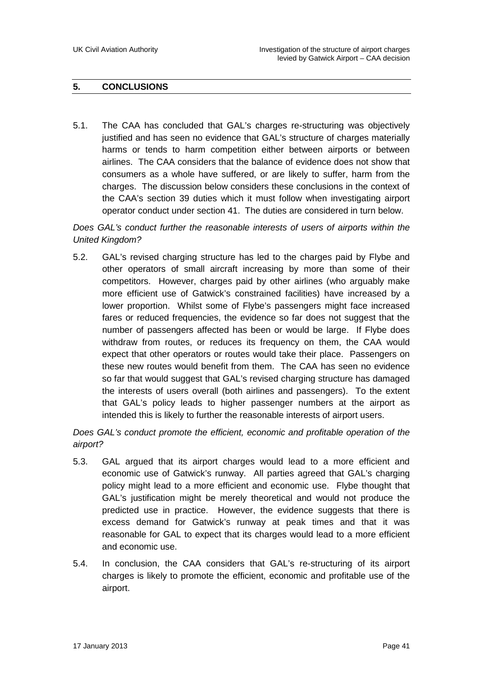#### **5. CONCLUSIONS**

5.1. The CAA has concluded that GAL's charges re-structuring was objectively justified and has seen no evidence that GAL's structure of charges materially harms or tends to harm competition either between airports or between airlines. The CAA considers that the balance of evidence does not show that consumers as a whole have suffered, or are likely to suffer, harm from the charges. The discussion below considers these conclusions in the context of the CAA's section 39 duties which it must follow when investigating airport operator conduct under section 41. The duties are considered in turn below.

*Does GAL's conduct further the reasonable interests of users of airports within the United Kingdom?*

5.2. GAL's revised charging structure has led to the charges paid by Flybe and other operators of small aircraft increasing by more than some of their competitors. However, charges paid by other airlines (who arguably make more efficient use of Gatwick's constrained facilities) have increased by a lower proportion. Whilst some of Flybe's passengers might face increased fares or reduced frequencies, the evidence so far does not suggest that the number of passengers affected has been or would be large. If Flybe does withdraw from routes, or reduces its frequency on them, the CAA would expect that other operators or routes would take their place. Passengers on these new routes would benefit from them. The CAA has seen no evidence so far that would suggest that GAL's revised charging structure has damaged the interests of users overall (both airlines and passengers). To the extent that GAL's policy leads to higher passenger numbers at the airport as intended this is likely to further the reasonable interests of airport users.

*Does GAL's conduct promote the efficient, economic and profitable operation of the airport?*

- 5.3. GAL argued that its airport charges would lead to a more efficient and economic use of Gatwick's runway. All parties agreed that GAL's charging policy might lead to a more efficient and economic use. Flybe thought that GAL's justification might be merely theoretical and would not produce the predicted use in practice. However, the evidence suggests that there is excess demand for Gatwick's runway at peak times and that it was reasonable for GAL to expect that its charges would lead to a more efficient and economic use.
- 5.4. In conclusion, the CAA considers that GAL's re-structuring of its airport charges is likely to promote the efficient, economic and profitable use of the airport.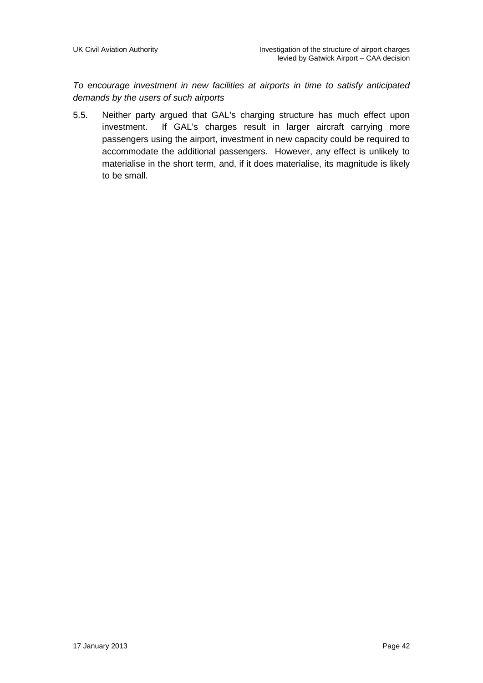*To encourage investment in new facilities at airports in time to satisfy anticipated demands by the users of such airports*

5.5. Neither party argued that GAL's charging structure has much effect upon investment. If GAL's charges result in larger aircraft carrying more passengers using the airport, investment in new capacity could be required to accommodate the additional passengers. However, any effect is unlikely to materialise in the short term, and, if it does materialise, its magnitude is likely to be small.